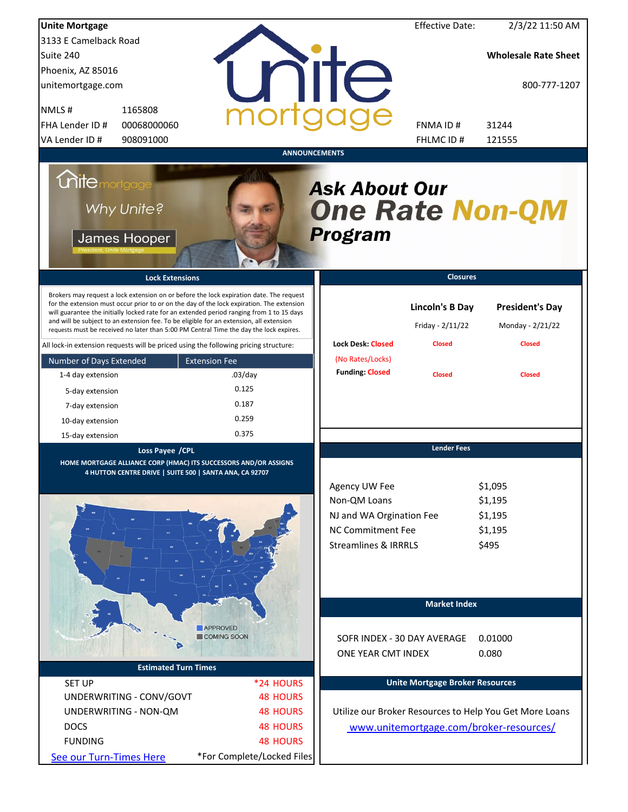| <b>Unite Mortgage</b>                                                                                                                                                                                                                                                                                                                                                                                                                                                                                                                                          |                                       |                                                                                                                          | <b>Effective Date:</b>                                      | 2/3/22 11:50 AM                                             |
|----------------------------------------------------------------------------------------------------------------------------------------------------------------------------------------------------------------------------------------------------------------------------------------------------------------------------------------------------------------------------------------------------------------------------------------------------------------------------------------------------------------------------------------------------------------|---------------------------------------|--------------------------------------------------------------------------------------------------------------------------|-------------------------------------------------------------|-------------------------------------------------------------|
| 3133 E Camelback Road                                                                                                                                                                                                                                                                                                                                                                                                                                                                                                                                          |                                       |                                                                                                                          |                                                             |                                                             |
| Suite 240                                                                                                                                                                                                                                                                                                                                                                                                                                                                                                                                                      |                                       |                                                                                                                          |                                                             | <b>Wholesale Rate Sheet</b>                                 |
| Phoenix, AZ 85016                                                                                                                                                                                                                                                                                                                                                                                                                                                                                                                                              |                                       |                                                                                                                          |                                                             |                                                             |
| unitemortgage.com                                                                                                                                                                                                                                                                                                                                                                                                                                                                                                                                              |                                       | <b>IITE</b>                                                                                                              |                                                             | 800-777-1207                                                |
| 1165808<br>NMLS#                                                                                                                                                                                                                                                                                                                                                                                                                                                                                                                                               |                                       |                                                                                                                          |                                                             |                                                             |
| 00068000060<br>FHA Lender ID #                                                                                                                                                                                                                                                                                                                                                                                                                                                                                                                                 |                                       |                                                                                                                          | FNMA ID#                                                    | 31244                                                       |
| VA Lender ID #<br>908091000                                                                                                                                                                                                                                                                                                                                                                                                                                                                                                                                    |                                       |                                                                                                                          | FHLMC ID#                                                   | 121555                                                      |
|                                                                                                                                                                                                                                                                                                                                                                                                                                                                                                                                                                |                                       | <b>ANNOUNCEMENTS</b>                                                                                                     |                                                             |                                                             |
| <i><b>Unitemortgage</b></i><br>Why Unite?<br>James Hooper                                                                                                                                                                                                                                                                                                                                                                                                                                                                                                      |                                       | <b>Ask About Our</b><br><b>One Rate Non-QM</b><br>Program                                                                |                                                             |                                                             |
| <b>Lock Extensions</b>                                                                                                                                                                                                                                                                                                                                                                                                                                                                                                                                         |                                       |                                                                                                                          | <b>Closures</b>                                             |                                                             |
| Brokers may request a lock extension on or before the lock expiration date. The request<br>for the extension must occur prior to or on the day of the lock expiration. The extension<br>will guarantee the initially locked rate for an extended period ranging from 1 to 15 days<br>and will be subject to an extension fee. To be eligible for an extension, all extension<br>requests must be received no later than 5:00 PM Central Time the day the lock expires.<br>All lock-in extension requests will be priced using the following pricing structure: |                                       | <b>Lock Desk: Closed</b>                                                                                                 | <b>Lincoln's B Day</b><br>Friday - 2/11/22<br><b>Closed</b> | <b>President's Day</b><br>Monday - 2/21/22<br><b>Closed</b> |
| Number of Days Extended                                                                                                                                                                                                                                                                                                                                                                                                                                                                                                                                        | <b>Extension Fee</b>                  | (No Rates/Locks)                                                                                                         |                                                             |                                                             |
| 1-4 day extension                                                                                                                                                                                                                                                                                                                                                                                                                                                                                                                                              | $.03$ /day                            | <b>Funding: Closed</b>                                                                                                   | <b>Closed</b>                                               | <b>Closed</b>                                               |
| 5-day extension                                                                                                                                                                                                                                                                                                                                                                                                                                                                                                                                                | 0.125                                 |                                                                                                                          |                                                             |                                                             |
| 7-day extension                                                                                                                                                                                                                                                                                                                                                                                                                                                                                                                                                | 0.187                                 |                                                                                                                          |                                                             |                                                             |
|                                                                                                                                                                                                                                                                                                                                                                                                                                                                                                                                                                | 0.259                                 |                                                                                                                          |                                                             |                                                             |
| 10-day extension                                                                                                                                                                                                                                                                                                                                                                                                                                                                                                                                               | 0.375                                 |                                                                                                                          |                                                             |                                                             |
| 15-day extension                                                                                                                                                                                                                                                                                                                                                                                                                                                                                                                                               |                                       |                                                                                                                          | <b>Lender Fees</b>                                          |                                                             |
| Loss Payee /CPL<br>HOME MORTGAGE ALLIANCE CORP (HMAC) ITS SUCCESSORS AND/OR ASSIGNS<br>4 HUTTON CENTRE DRIVE   SUITE 500   SANTA ANA, CA 92707                                                                                                                                                                                                                                                                                                                                                                                                                 |                                       | Agency UW Fee<br>Non-QM Loans<br>NJ and WA Orgination Fee<br><b>NC Commitment Fee</b><br><b>Streamlines &amp; IRRRLS</b> |                                                             | \$1,095<br>\$1,195<br>\$1,195<br>\$1,195<br>\$495           |
|                                                                                                                                                                                                                                                                                                                                                                                                                                                                                                                                                                |                                       |                                                                                                                          | <b>Market Index</b>                                         |                                                             |
| <b>Estimated Turn Times</b>                                                                                                                                                                                                                                                                                                                                                                                                                                                                                                                                    | <b>APPROVED</b><br><b>COMING SOON</b> | SOFR INDEX - 30 DAY AVERAGE<br>ONE YEAR CMT INDEX                                                                        |                                                             | 0.01000<br>0.080                                            |
|                                                                                                                                                                                                                                                                                                                                                                                                                                                                                                                                                                |                                       |                                                                                                                          | <b>Unite Mortgage Broker Resources</b>                      |                                                             |
| <b>SET UP</b><br>UNDERWRITING - CONV/GOVT                                                                                                                                                                                                                                                                                                                                                                                                                                                                                                                      | *24 HOURS<br><b>48 HOURS</b>          |                                                                                                                          |                                                             |                                                             |
|                                                                                                                                                                                                                                                                                                                                                                                                                                                                                                                                                                |                                       |                                                                                                                          |                                                             |                                                             |
| UNDERWRITING - NON-QM                                                                                                                                                                                                                                                                                                                                                                                                                                                                                                                                          | <b>48 HOURS</b>                       |                                                                                                                          |                                                             | Utilize our Broker Resources to Help You Get More Loans     |
| <b>DOCS</b>                                                                                                                                                                                                                                                                                                                                                                                                                                                                                                                                                    | <b>48 HOURS</b>                       |                                                                                                                          |                                                             | www.unitemortgage.com/broker-resources/                     |
| <b>FUNDING</b>                                                                                                                                                                                                                                                                                                                                                                                                                                                                                                                                                 | <b>48 HOURS</b>                       |                                                                                                                          |                                                             |                                                             |
| See our Turn-Times Here                                                                                                                                                                                                                                                                                                                                                                                                                                                                                                                                        | *For Complete/Locked Files            |                                                                                                                          |                                                             |                                                             |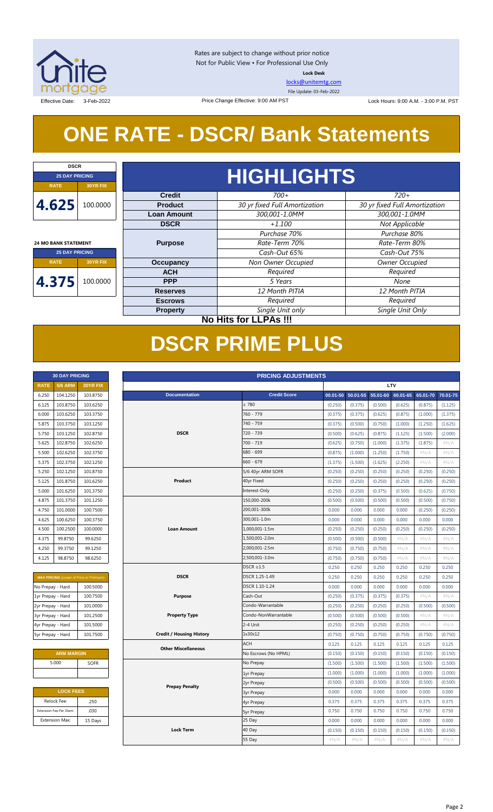

**DSCR**

 $\overline{1}$ 

Rates are subject to change without prior notice Not for Public View • For Professional Use Only **Lock Desk**

[locks@unitemtg.com](mailto:locks@unitemtg.com)

File Update: 03-Feb-2022

Effective Date: 3-Feb-2022 **Lock Hours: 9:00 A.M. - 3:00 P.M. PST** Change Effective: 9:00 AM PST Lock Hours: 9:00 A.M. - 3:00 P.M. PST

*Single Unit Only*

*None*

# **ONE RATE - DSCR/ Bank Statements**

| <b>25 DAY PRICING</b>       |                       |  |
|-----------------------------|-----------------------|--|
| <b>RATE</b>                 |                       |  |
| 4.625                       |                       |  |
| <b>24 MO BANK STATEMENT</b> |                       |  |
|                             |                       |  |
|                             | <b>25 DAY PRICING</b> |  |
| <b>RATE</b>                 | <b>30YR FIX</b>       |  |

 $\blacksquare$ 

**Escrows**

**PPP**

**Property**

#### *Not Applicable Required Owner Occupied Purchase 80% Rate-Term 80% Cash-Out 75%* **Occupancy ACH Purpose** *+1.100 Purchase 70%* **DSCR** *Rate-Term 70% Cash-Out 65% Non Owner Occupied Required* **Credit** *700+ 30 yr fixed Full Amortization 300,001-1.0MM 300,001-1.0MM 30 yr fixed Full Amortization 720+* **HIGHLIGHTS Product Loan Amount**

*12 Month PITIA* **Reserves** *12 Month PITIA*

*Single Unit only*

*5 Years*

**No Hits for LLPAs !!!**

*Required Required*

|                   |                         |                                                |                                 | <b>DSCR PRIME PLUS</b>     |              |          |          |          |          |          |
|-------------------|-------------------------|------------------------------------------------|---------------------------------|----------------------------|--------------|----------|----------|----------|----------|----------|
|                   |                         |                                                |                                 |                            |              |          |          |          |          |          |
|                   | <b>30 DAY PRICING</b>   |                                                |                                 | <b>PRICING ADJUSTMENTS</b> |              |          |          |          |          |          |
| <b>RATE</b>       | <b>5/6 ARM</b>          | 30YR FIX                                       | <b>LTV</b>                      |                            |              |          |          |          |          |          |
| 6.250             | 104.1250                | 103.8750                                       | <b>Documentation</b>            | <b>Credit Score</b>        | $00.01 - 50$ | 50.01-55 | 55.01-60 | 60.01-65 | 65.01-70 | 70.01-75 |
| 6.125             | 103.8750                | 103.6250                                       |                                 | $\geq 780$                 | (0.250)      | (0.375)  | (0.500)  | (0.625)  | (0.875)  | (1.125)  |
| 6.000             | 103.6250                | 103.3750                                       |                                 | 760 - 779                  | (0.375)      | (0.375)  | (0.625)  | (0.875)  | (1.000)  | (1.375)  |
| 5.875             | 103.3750                | 103.1250                                       |                                 | 740 - 759                  | (0.375)      | (0.500)  | (0.750)  | (1.000)  | (1.250)  | (1.625)  |
| 5.750             | 103.1250                | 102.8750                                       | <b>DSCR</b>                     | 720 - 739                  | (0.500)      | (0.625)  | (0.875)  | (1.125)  | (1.500)  | (2.000)  |
| 5.625             | 102.8750                | 102.6250                                       |                                 | 700 - 719                  | (0.625)      | (0.750)  | (1.000)  | (1.375)  | (1.875)  | #N/A     |
| 5.500             | 102.6250                | 102.3750                                       |                                 | 680 - 699                  | (0.875)      | (1.000)  | (1.250)  | (1.750)  | #N/A     | #N/A     |
| 5.375             | 102.3750                | 102.1250                                       |                                 | $660 - 679$                | (1.375)      | (1.500)  | (1.625)  | (2.250)  | #N/A     | #N/A     |
| 5.250             | 102.1250                | 101.8750                                       |                                 | 5/6 40yr ARM SOFR          | (0.250)      | (0.250)  | (0.250)  | (0.250)  | (0.250)  | (0.250)  |
| 5.125             | 101.8750                | 101.6250                                       | Product                         | 40yr Fixed                 | (0.250)      | (0.250)  | (0.250)  | (0.250)  | (0.250)  | (0.250)  |
| 5.000             | 101.6250                | 101.3750                                       |                                 | Interest-Only              | (0.250)      | (0.250)  | (0.375)  | (0.500)  | (0.625)  | (0.750)  |
| 4.875             | 101.3750                | 101.1250                                       |                                 | 150,000-200k               | (0.500)      | (0.500)  | (0.500)  | (0.500)  | (0.500)  | (0.750)  |
| 4.750             | 101.0000                | 100.7500                                       |                                 | 200,001-300k               | 0.000        | 0.000    | 0.000    | 0.000    | (0.250)  | (0.250)  |
| 4.625             | 100.6250                | 100.3750                                       |                                 | 300,001-1.0m               | 0.000        | 0.000    | 0.000    | 0.000    | 0.000    | 0.000    |
| 4.500             | 100.2500                | 100.0000                                       | <b>Loan Amount</b>              | 1.000.001-1.5m             | (0.250)      | (0.250)  | (0.250)  | (0.250)  | (0.250)  | (0.250)  |
| 4.375             | 99.8750                 | 99.6250                                        |                                 | 1,500,001-2.0m             | (0.500)      | (0.500)  | (0.500)  | $\#N/A$  | #N/A     | #N/A     |
| 4.250             | 99.3750                 | 99.1250                                        |                                 | 2,000,001-2.5m             | (0.750)      | (0.750)  | (0.750)  | $\#N/A$  | #N/A     | #N/A     |
| 4.125             | 98.8750                 | 98.6250                                        |                                 | 2,500,001-3.0m             | (0.750)      | (0.750)  | (0.750)  | #N/A     | #N/A     | #N/A     |
|                   |                         |                                                |                                 | $DSCR \geq 1.5$            | 0.250        | 0.250    | 0.250    | 0.250    | 0.250    | 0.250    |
|                   |                         | <b>MAX PRICING</b> (Lower of Price or Premium) | <b>DSCR</b>                     | DSCR 1.25-1.49             | 0.250        | 0.250    | 0.250    | 0.250    | 0.250    | 0.250    |
| No Prepay - Hard  |                         | 100.5000                                       |                                 | DSCR 1.10-1.24             | 0.000        | 0.000    | 0.000    | 0.000    | 0.000    | 0.000    |
| 1yr Prepay - Hard |                         | 100.7500                                       | Purpose                         | Cash-Out                   | (0.250)      | (0.375)  | (0.375)  | (0.375)  | $\#N/A$  | $\#N/A$  |
| 2yr Prepay - Hard |                         | 101.0000                                       |                                 | Condo-Warrantable          | (0.250)      | (0.250)  | (0.250)  | (0.250)  | (0.500)  | (0.500)  |
| 3yr Prepay - Hard |                         | 101.2500                                       | <b>Property Type</b>            | Condo-NonWarrantable       | (0.500)      | (0.500)  | (0.500)  | (0.500)  | #N/A     | #N/A     |
| 4yr Prepay - Hard |                         | 101.5000                                       |                                 | 2-4 Unit                   | (0.250)      | (0.250)  | (0.250)  | (0.250)  | $\#N/A$  | $\#N/A$  |
| 5yr Prepay - Hard |                         | 101.7500                                       | <b>Credit / Housing History</b> | 1x30x12                    | (0.750)      | (0.750)  | (0.750)  | (0.750)  | (0.750)  | (0.750)  |
|                   |                         |                                                |                                 | ACH                        | 0.125        | 0.125    | 0.125    | 0.125    | 0.125    | 0.125    |
|                   | <b>ARM MARGIN</b>       |                                                | <b>Other Miscellaneous</b>      | No Escrows (No HPML)       | (0.150)      | (0.150)  | (0.150)  | (0.150)  | (0.150)  | (0.150)  |
|                   | 5.000                   | SOFR                                           |                                 | No Prepay                  | (1.500)      | (1.500)  | (1.500)  | (1.500)  | (1.500)  | (1.500)  |
|                   |                         |                                                |                                 | 1yr Prepay                 | (1.000)      | (1.000)  | (1.000)  | (1.000)  | (1.000)  | (1.000)  |
|                   |                         |                                                |                                 | 2yr Prepay                 | (0.500)      | (0.500)  | (0.500)  | (0.500)  | (0.500)  | (0.500)  |
|                   | <b>LOCK FEES</b>        |                                                | <b>Prepay Penalty</b>           | <b>3yr Prepay</b>          | 0.000        | 0.000    | 0.000    | 0.000    | 0.000    | 0.000    |
|                   | Relock Fee:             | .250                                           |                                 | 4yr Prepay                 | 0.375        | 0.375    | 0.375    | 0.375    | 0.375    | 0.375    |
|                   | Extension Fee Per Diem: | .030                                           |                                 | <b>5yr Prepay</b>          | 0.750        | 0.750    | 0.750    | 0.750    | 0.750    | 0.750    |
|                   | <b>Extension Max:</b>   | 15 Days                                        |                                 | 25 Day                     | 0.000        | 0.000    | 0.000    | 0.000    | 0.000    | 0.000    |
|                   |                         |                                                | <b>Lock Term</b>                | 40 Day                     | (0.150)      | (0.150)  | (0.150)  | (0.150)  | (0.150)  | (0.150)  |
|                   |                         |                                                |                                 | 55 Day                     | #N/A         | #N/A     | #N/A     | #N/A     | #N/A     | #N/A     |

|             | 30 DAY PRICING |                 |
|-------------|----------------|-----------------|
| <b>RATE</b> | <b>5/6 ARM</b> | <b>30YR FIX</b> |
| 6.250       | 104.1250       | 103.8750        |
| 6.125       | 103.8750       | 103.6250        |
| 6.000       | 103.6250       | 103.3750        |
| 5.875       | 103.3750       | 103.1250        |
| 5.750       | 103.1250       | 102.8750        |
| 5.625       | 102.8750       | 102.6250        |
| 5.500       | 102.6250       | 102.3750        |
| 5.375       | 102.3750       | 102.1250        |
| 5.250       | 102.1250       | 101.8750        |
| 5.125       | 101.8750       | 101.6250        |
| 5.000       | 101.6250       | 101.3750        |
| 4.875       | 101.3750       | 101.1250        |
| 4.750       | 101.0000       | 100.7500        |
| 4.625       | 100.6250       | 100.3750        |
| 4.500       | 100.2500       | 100.0000        |
| 4.375       | 99.8750        | 99.6250         |
| 4.250       | 99.3750        | 99.1250         |
| 4.125       | 98.8750        | 98.6250         |

| <b>MAX PRICING</b> (Lower of Price or Premium) |                      |  |  |  |  |  |  |  |
|------------------------------------------------|----------------------|--|--|--|--|--|--|--|
| No Prepay - Hard                               | 100.5000             |  |  |  |  |  |  |  |
| 1yr Prepay - Hard                              | 100.7500<br>101.0000 |  |  |  |  |  |  |  |
| 2yr Prepay - Hard                              |                      |  |  |  |  |  |  |  |
| 3yr Prepay - Hard                              | 101.2500             |  |  |  |  |  |  |  |
| 4yr Prepay - Hard                              | 101.5000             |  |  |  |  |  |  |  |
| 5yr Prepay - Hard                              | 101.7500             |  |  |  |  |  |  |  |

| <b>ARM MARGIN</b> |
|-------------------|
| <b>SOFR</b>       |
|                   |
|                   |

| <b>LOCK FEES</b>        |         |  |  |  |  |
|-------------------------|---------|--|--|--|--|
| Relock Fee:             | .250    |  |  |  |  |
| Extension Fee Per Diem: | .030    |  |  |  |  |
| <b>Extension Max:</b>   | 15 Days |  |  |  |  |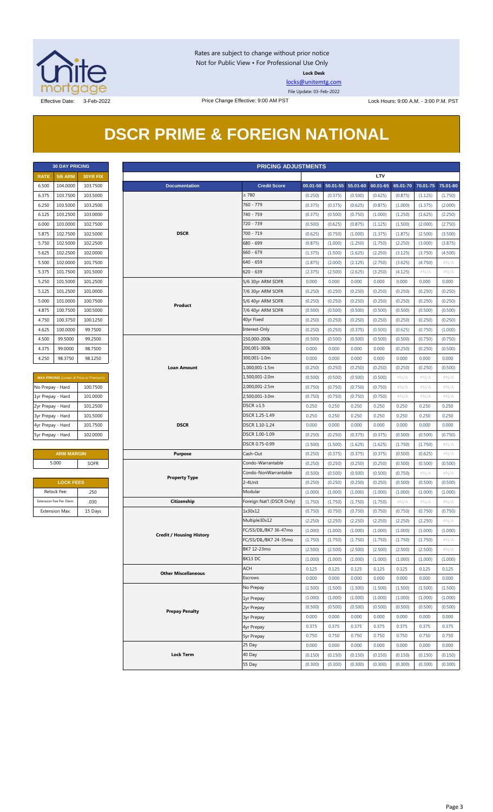

Rates are subject to change without prior notice Not for Public View • For Professional Use Only **Lock Desk**

[locks@unitemtg.com](mailto:locks@unitemtg.com) File Update: 03-Feb-2022

# **DSCR PRIME & FOREIGN NATIONAL**

|             | <b>30 DAY PRICING</b> |                 |
|-------------|-----------------------|-----------------|
| <b>RATE</b> | <b>5/6 ARM</b>        | <b>30YR FIX</b> |
| 6.500       | 104.0000              | 103.7500        |
| 6.375       | 103.7500              | 103.5000        |
| 6.250       | 103.5000              | 103.2500        |
| 6.125       | 103.2500              | 103.0000        |
| 6.000       | 103.0000              | 102.7500        |
| 5.875       | 102.7500              | 102.5000        |
| 5.750       | 102.5000              | 102.2500        |
| 5.625       | 102.2500              | 102,0000        |
| 5.500       | 102.0000              | 101.7500        |
| 5.375       | 101.7500              | 101.5000        |
| 5.250       | 101.5000              | 101.2500        |
| 5.125       | 101.2500              | 101.0000        |
| 5.000       | 101.0000              | 100.7500        |
| 4.875       | 100.7500              | 100.5000        |
| 4.750       | 100.3750              | 100.1250        |
| 4.625       | 100.0000              | 99.7500         |
| 4.500       | 99.5000               | 99.2500         |
| 4.375       | 99.0000               | 98.7500         |
| 4.250       | 98.3750               | 98.1250         |

| <b>MAX PRICING (Lower of Price or Premium)</b> |          |  |  |  |  |  |
|------------------------------------------------|----------|--|--|--|--|--|
| No Prepay - Hard                               | 100.7500 |  |  |  |  |  |
| 1yr Prepay - Hard                              | 101.0000 |  |  |  |  |  |
| 2yr Prepay - Hard                              | 101.2500 |  |  |  |  |  |
| 3yr Prepay - Hard                              | 101.5000 |  |  |  |  |  |
| 4yr Prepay - Hard                              | 101.7500 |  |  |  |  |  |
| 5yr Prepay - Hard                              | 102,0000 |  |  |  |  |  |

| <b>ARM MARGIN</b> |             |  |  |  |  |
|-------------------|-------------|--|--|--|--|
| 5.000             | <b>SOFR</b> |  |  |  |  |

| <b>LOCK FEES</b>        |         |  |  |  |  |
|-------------------------|---------|--|--|--|--|
| Relock Fee:             | .250    |  |  |  |  |
| Extension Fee Per Diem: | .030    |  |  |  |  |
| <b>Extension Max:</b>   | 15 Days |  |  |  |  |

| <b>PRICING ADJUSTMENTS</b><br><b>30 DAY PRICING</b> |                         |                                         |                                 |                           |                  |                   |          |            |          |          |                  |
|-----------------------------------------------------|-------------------------|-----------------------------------------|---------------------------------|---------------------------|------------------|-------------------|----------|------------|----------|----------|------------------|
| <b>RATE</b>                                         | <b>5/6 ARM</b>          | 30YR FIX                                |                                 |                           |                  |                   |          | <b>LTV</b> |          |          |                  |
| 6.500                                               | 104.0000                | 103.7500                                | <b>Documentation</b>            | <b>Credit Score</b>       |                  | 00.01-50 50.01-55 | 55.01-60 | 60.01-65   | 65.01-70 | 70.01-75 | 75.01-80         |
| 6.375                                               | 103.7500                | 103.5000                                |                                 | $\geq 780$                | (0.250)          | (0.375)           | (0.500)  | (0.625)    | (0.875)  | (1.125)  | (1.750)          |
| 6.250                                               | 103.5000                | 103.2500                                |                                 | 760 - 779                 | (0.375)          | (0.375)           | (0.625)  | (0.875)    | (1.000)  | (1.375)  | (2.000)          |
| 6.125                                               | 103.2500                | 103.0000                                |                                 | 740 - 759                 | (0.375)          | (0.500)           | (0.750)  | (1.000)    | (1.250)  | (1.625)  | (2.250)          |
| 6.000                                               | 103.0000                | 102.7500                                |                                 | 720 - 739                 | (0.500)          | (0.625)           | (0.875)  | (1.125)    | (1.500)  | (2.000)  | (2.750)          |
| 5.875                                               | 102.7500                | 102.5000                                | <b>DSCR</b>                     | $700 - 719$               | (0.625)          | (0.750)           | (1.000)  | (1.375)    | (1.875)  | (2.500)  | (3.500)          |
| 5.750                                               | 102.5000                | 102.2500                                |                                 | 680 - 699                 | (0.875)          | (1.000)           | (1.250)  | (1.750)    | (2.250)  | (3.000)  | (3.875)          |
| 5.625                                               | 102.2500                | 102.0000                                |                                 | $660 - 679$               | (1.375)          | (1.500)           | (1.625)  | (2.250)    | (3.125)  | (3.750)  | (4.500)          |
| 5.500                                               | 102.0000                | 101.7500                                |                                 | $640 - 659$               | (1.875)          | (2.000)           | (2.125)  | (2.750)    | (3.625)  | (4.750)  | $\#N/A$          |
|                                                     | 101.7500                | 101.5000                                |                                 | $620 - 639$               |                  | (2.500)           | (2.625)  | (3.250)    | (4.125)  | #N/A     |                  |
| 5.375<br>5.250                                      | 101.5000                | 101.2500                                |                                 |                           | (2.375)<br>0.000 | 0.000             | 0.000    | 0.000      | 0.000    | 0.000    | $\#N/A$<br>0.000 |
|                                                     |                         |                                         |                                 | 5/6 30yr ARM SOFR         |                  |                   |          |            |          |          |                  |
| 5.125                                               | 101.2500                | 101.0000                                |                                 | 7/6 30yr ARM SOFR         | (0.250)          | (0.250)           | (0.250)  | (0.250)    | (0.250)  | (0.250)  | (0.250)          |
| 5.000                                               | 101.0000                | 100.7500                                | Product                         | 5/6 40yr ARM SOFR         | (0.250)          | (0.250)           | (0.250)  | (0.250)    | (0.250)  | (0.250)  | (0.250)          |
| 4.875                                               | 100.7500                | 100.5000                                |                                 | 7/6 40yr ARM SOFR         | (0.500)          | (0.500)           | (0.500)  | (0.500)    | (0.500)  | (0.500)  | (0.500)          |
| 4.750                                               | 100.3750                | 100.1250                                |                                 | 40yr Fixed                | (0.250)          | (0.250)           | (0.250)  | (0.250)    | (0.250)  | (0.250)  | (0.250)          |
| 4.625                                               | 100.0000                | 99.7500                                 |                                 | Interest-Only             | (0.250)          | (0.250)           | (0.375)  | (0.500)    | (0.625)  | (0.750)  | (1.000)          |
| 4.500                                               | 99.5000                 | 99.2500                                 |                                 | 150,000-200k              | (0.500)          | (0.500)           | (0.500)  | (0.500)    | (0.500)  | (0.750)  | (0.750)          |
| 4.375                                               | 99.0000                 | 98.7500                                 |                                 | 200,001-300k              | 0.000            | 0.000             | 0.000    | 0.000      | (0.250)  | (0.250)  | (0.500)          |
| 4.250                                               | 98.3750                 | 98.1250                                 |                                 | 300,001-1.0m              | 0.000            | 0.000             | 0.000    | 0.000      | 0.000    | 0.000    | 0.000            |
|                                                     |                         |                                         | <b>Loan Amount</b>              | 1,000,001-1.5m            | (0.250)          | (0.250)           | (0.250)  | (0.250)    | (0.250)  | (0.250)  | (0.500)          |
|                                                     |                         | MAX PRICING (Lower of Price or Premium) |                                 | 1,500,001-2.0m            | (0.500)          | (0.500)           | (0.500)  | (0.500)    | $\#N/A$  | $\#N/A$  | $\#N/A$          |
| No Prepay - Hard                                    |                         | 100.7500                                |                                 | 2,000,001-2.5m            | (0.750)          | (0.750)           | (0.750)  | (0.750)    | $\#N/A$  | $\#N/A$  | # $N/A$          |
| 1yr Prepay - Hard                                   |                         | 101.0000                                |                                 | 2,500,001-3.0m            | (0.750)          | (0.750)           | (0.750)  | (0.750)    | $\#N/A$  | $\#N/A$  | $\#N/A$          |
| 2yr Prepay - Hard                                   |                         | 101.2500                                |                                 | $DSCR \geq 1.5$           | 0.250            | 0.250             | 0.250    | 0.250      | 0.250    | 0.250    | 0.250            |
| 3yr Prepay - Hard                                   |                         | 101.5000                                |                                 | DSCR 1.25-1.49            | 0.250            | 0.250             | 0.250    | 0.250      | 0.250    | 0.250    | 0.250            |
| 4yr Prepay - Hard                                   |                         | 101.7500                                | <b>DSCR</b>                     | DSCR 1.10-1.24            | 0.000            | 0.000             | 0.000    | 0.000      | 0.000    | 0.000    | 0.000            |
| 5yr Prepay - Hard                                   |                         | 102.0000                                |                                 | DSCR 1.00-1.09            | (0.250)          | (0.250)           | (0.375)  | (0.375)    | (0.500)  | (0.500)  | (0.750)          |
|                                                     |                         |                                         |                                 | DSCR 0.75-0.99            | (1.500)          | (1.500)           | (1.625)  | (1.625)    | (1.750)  | (1.750)  | $\#N/A$          |
|                                                     | <b>ARM MARGIN</b>       |                                         | <b>Purpose</b>                  | Cash-Out                  | (0.250)          | (0.375)           | (0.375)  | (0.375)    | (0.500)  | (0.625)  | $\#N/A$          |
|                                                     | 5.000                   | SOFR                                    |                                 | Condo-Warrantable         | (0.250)          | (0.250)           | (0.250)  | (0.250)    | (0.500)  | (0.500)  | (0.500)          |
|                                                     |                         |                                         |                                 | Condo-NonWarrantable      | (0.500)          | (0.500)           | (0.500)  | (0.500)    | (0.750)  | $\#N/A$  | #N/A             |
|                                                     | <b>LOCK FEES</b>        |                                         | <b>Property Type</b>            | 2-4Unit                   | (0.250)          | (0.250)           | (0.250)  | (0.250)    | (0.500)  | (0.500)  | (0.500)          |
|                                                     | Relock Fee:             | .250                                    |                                 | Modular                   | (1.000)          | (1.000)           | (1.000)  | (1.000)    | (1.000)  | (1.000)  | (1.000)          |
|                                                     | Extension Fee Per Diem: | .030                                    | Citizenship                     | Foreign Nat'l (DSCR Only) | (1.750)          | (1.750)           | (1.750)  | (1.750)    | $\#N/A$  | $\#N/A$  | $\#N/A$          |
|                                                     | <b>Extension Max:</b>   | 15 Days                                 |                                 | 1x30x12                   | (0.750)          | (0.750)           | (0.750)  | (0.750)    | (0.750)  | (0.750)  | (0.750)          |
|                                                     |                         |                                         |                                 | Multiple30x12             | (2.250)          | (2.250)           | (2.250)  | (2.250)    | (2.250)  | (2.250)  | $\#N/A$          |
|                                                     |                         |                                         |                                 | FC/SS/DIL/BK7 36-47mo     | (1.000)          | (1.000)           | (1.000)  | (1.000)    | (1.000)  | (1.000)  | (1.000)          |
|                                                     |                         |                                         | <b>Credit / Housing History</b> | FC/SS/DIL/BK7 24-35mo     | (1.750)          | (1.750)           | (1.750)  | (1.750)    | (1.750)  | (1.750)  | #N/A             |
|                                                     |                         |                                         |                                 | BK7 12-23mo               | (2.500)          | (2.500)           | (2.500)  | (2.500)    | (2.500)  | (2.500)  | $\#N/A$          |
|                                                     |                         |                                         |                                 | BK13 DC                   | (1.000)          | (1.000)           | (1.000)  | (1.000)    | (1.000)  | (1.000)  | (1.000)          |
|                                                     |                         |                                         |                                 | ACH                       | 0.125            | 0.125             | 0.125    | 0.125      | 0.125    | 0.125    | 0.125            |
|                                                     |                         |                                         | <b>Other Miscellaneous</b>      | Escrows                   | 0.000            | 0.000             | 0.000    | 0.000      | 0.000    | 0.000    | 0.000            |
|                                                     |                         |                                         |                                 | No Prepay                 | (1.500)          | (1.500)           | (1.500)  | (1.500)    | (1.500)  | (1.500)  | (1.500)          |
|                                                     |                         |                                         |                                 |                           | (1.000)          | (1.000)           | (1.000)  | (1.000)    | (1.000)  | (1.000)  | (1.000)          |
|                                                     |                         |                                         |                                 | 1yr Prepay                |                  |                   |          |            |          |          |                  |
|                                                     |                         |                                         | <b>Prepay Penalty</b>           | 2yr Prepay                | (0.500)          | (0.500)           | (0.500)  | (0.500)    | (0.500)  | (0.500)  | (0.500)          |
|                                                     |                         |                                         |                                 | <b>3yr Prepay</b>         | 0.000            | 0.000             | 0.000    | 0.000      | 0.000    | 0.000    | 0.000            |
|                                                     |                         |                                         |                                 | 4yr Prepay                | 0.375            | 0.375             | 0.375    | 0.375      | 0.375    | 0.375    | 0.375            |
|                                                     |                         |                                         |                                 | <b>5yr Prepay</b>         | 0.750            | 0.750             | 0.750    | 0.750      | 0.750    | 0.750    | 0.750            |
|                                                     |                         |                                         |                                 | 25 Day                    | 0.000            | 0.000             | 0.000    | 0.000      | 0.000    | 0.000    | 0.000            |
|                                                     |                         |                                         | <b>Lock Term</b>                | 40 Day                    | (0.150)          | (0.150)           | (0.150)  | (0.150)    | (0.150)  | (0.150)  | (0.150)          |
|                                                     |                         |                                         |                                 | 55 Day                    | (0.300)          | (0.300)           | (0.300)  | (0.300)    | (0.300)  | (0.300)  | (0.300)          |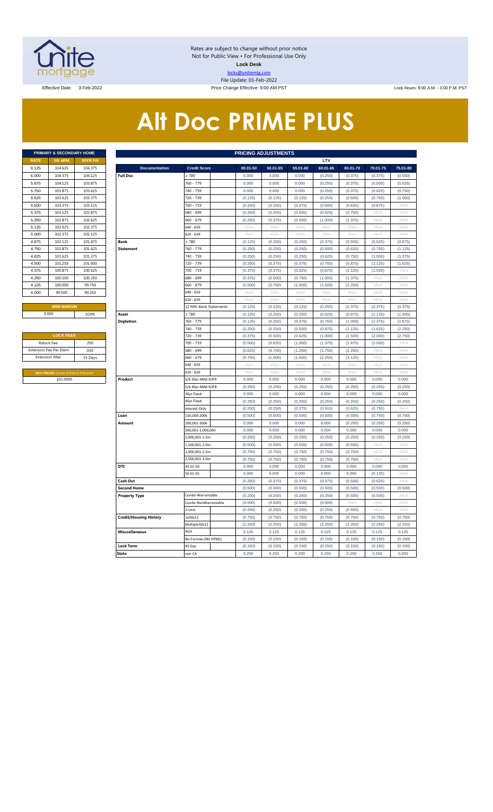

Rates are subject to change without prior notice Not for Public View • For Professional Use Only **Lock Desk** locks@unitemtg.com File Update: 03-Feb-2022

Price Change Effective: 9:00 AM PST Lock Hours: 9:00 A.M. - 3:00 P.M. PST Lock Hours: 9:00 A.M. - 3:00 P.M. PST

# **Alt Doc PRIME PLUS**

|             | <b>PRIMARY &amp; SECONDARY HOME</b> |                 |
|-------------|-------------------------------------|-----------------|
| <b>RATE</b> | <b>5/6 ARM</b>                      | <b>30YR FIX</b> |
| 6.125       | 104.625                             | 104.375         |
| 6.000       | 104.375                             | 104.125         |
| 5.875       | 104.125                             | 103.875         |
| 5.750       | 103.875                             | 103.625         |
| 5.625       | 103.625                             | 103.375         |
| 5.500       | 103.375                             | 103.125         |
| 5.375       | 103.125                             | 102.875         |
| 5.250       | 102.875                             | 102.625         |
| 5.125       | 102.625                             | 102.375         |
| 5.000       | 102.375                             | 102.125         |
| 4.875       | 102.125                             | 101.875         |
| 4.750       | 101.875                             | 101.625         |
| 4.625       | 101.625                             | 101.375         |
| 4.500       | 101.250                             | 101.000         |
| 4.375       | 100.875                             | 100.625         |
| 4.250       | 100.500                             | 100.250         |
| 4.125       | 100,000                             | 99.750          |
| 4.000       | 99.500                              | 99.250          |
|             |                                     |                 |

| <b>LOCK FEES</b>                               |         |  |  |  |  |  |  |  |  |  |
|------------------------------------------------|---------|--|--|--|--|--|--|--|--|--|
| Relock Fee:                                    | .250    |  |  |  |  |  |  |  |  |  |
| <b>Extension Fee Per Diem</b>                  | .030    |  |  |  |  |  |  |  |  |  |
| <b>Extension Max:</b>                          | 15 Days |  |  |  |  |  |  |  |  |  |
|                                                |         |  |  |  |  |  |  |  |  |  |
| <b>MAX PRICING (Lower of Price or Premium)</b> |         |  |  |  |  |  |  |  |  |  |
| 101.0000                                       |         |  |  |  |  |  |  |  |  |  |

|                       | PRIMARY & SECONDARY HOME<br><b>PRICING ADJUSTMENTS</b> |          |                               |                        |                 |              |              |              |                 |              |              |  |  |
|-----------------------|--------------------------------------------------------|----------|-------------------------------|------------------------|-----------------|--------------|--------------|--------------|-----------------|--------------|--------------|--|--|
| <b>RATE</b>           | 5/6 ARM                                                | 30YR FIX |                               |                        |                 |              |              | LTV          |                 |              |              |  |  |
| 6.125                 | 104.625                                                | 104.375  | <b>Documentation</b>          | <b>Credit Score</b>    | 00.01-50        | 50.01-55     | 55.01-60     | 60.01-65     | 65.01-70        | 70.01-75     | 75.01-80     |  |  |
| 6.000                 | 104.375                                                | 104.125  | <b>Full Doc</b>               | : 780                  | 0.000           | 0.000        | 0.000        | (0.250)      | (0.375)         | (0.375)      | (0.500)      |  |  |
| 5.875                 | 104.125                                                | 103.875  |                               | 760 - 779              | 0.000           | 0.000        | 0.000        | (0.250)      | (0.375)         | (0.500)      | (0.625)      |  |  |
| 5.750                 | 103.875                                                | 103.625  |                               | 740 - 759              | 0.000           | 0.000        | 0.000        | (0.250)      | (0.375)         | (0.625)      | (0.750)      |  |  |
| 5.625                 | 103.625                                                | 103.375  |                               | 720 - 739              | (0.125)         | (0.125)      | (0.125)      | (0.250)      | (0.500)         | (0.750)      | (1.000)      |  |  |
| 5.500                 | 103.375                                                | 103.125  |                               | 700 - 719              | (0.250)         | (0.250)      | (0.375)      | (0.500)      | (0.625)         | (0.875)      | #N/A         |  |  |
| 5.375                 | 103.125                                                | 102.875  |                               | 580 - 699              | (0.250)         | (0.250)      | (0.500)      | (0.625)      | (0.750)         | #N/A         | #N/A         |  |  |
| 5.250                 | 102.875                                                | 102.625  |                               | 660 - 679              | (0.250)         | (0.375)      | (0.500)      | (1.000)      | (1.375)         | #N/A         | #N/A         |  |  |
| 5.125                 | 102.625                                                | 102.375  |                               | 640 - 659              | #N/A            | #N/A         | #N/A         | #N/A         | #N/A            | #N/A         | #N/A         |  |  |
| 5.000                 | 102.375                                                | 102.125  |                               | 620 - 639              | $\#N/A$         | $\#N/\beta$  | $\#N/\beta$  | $\#N/\ell$   | $\#N/\beta$     | #N//         | $\#N/\beta$  |  |  |
| 4.875                 | 102.125                                                | 101.875  | <b>Bank</b>                   | $\geq 780$             | (0.125)         | (0.250)      | (0.250)      | (0.375)      | (0.500)         | (0.625)      | (0.875)      |  |  |
| 4.750                 | 101.875                                                | 101.625  | <b>Statement</b>              | 760 - 779              | (0.250)         | (0.250)      | (0.250)      | (0.500)      | (0.625)         | (0.750)      | (1.125)      |  |  |
| 4.625                 | 101.625                                                | 101.375  |                               | 740 - 759              | (0.250)         | (0.250)      | (0.250)      | (0.625)      | (0.750)         | (1.000)      | (1.375)      |  |  |
| 4.500                 | 101.250                                                | 101.000  |                               | 720 - 739              | (0.250)         | (0.375)      | (0.375)      | (0.750)      | (0.875)         | (1.125)      | (1.625)      |  |  |
| 4.375                 | 100.875                                                | 100.625  |                               | 700 - 719              | (0.375)         | (0.375)      | (0.625)      | (0.875)      | (1.125)         | (1.500)      | #N/A         |  |  |
| 4.250                 | 100.500                                                | 100.250  |                               | 680 - 699              | (0.375)         | (0.500)      | (0.750)      | (1.000)      | (1.375)         | #N/A         | #N/A         |  |  |
| 4.125                 | 100,000                                                | 99.750   |                               | 660 - 679              | (0.500)         | (0.750)      | (1.000)      | (1.500)      | (2.250)         | #N/A         | $\#N/A$      |  |  |
| 4.000                 | 99.500                                                 | 99.250   |                               | 640 - 659              | #N/A            | #N/A         | $\#N/A$      | $\#N/A$      | $\#N/A$         | #N/A         | $\#N/A$      |  |  |
|                       |                                                        |          |                               | 620 - 639              | #N/A            | #N/A         | #N/A         | #N/A         | #N/A            | #N/A         | #N/A         |  |  |
|                       | <b>ARM MARGIN</b>                                      |          |                               | 12 Mth Bank Statements | (0.125)         | (0.125)      | (0.125)      | (0.250)      | (0.375)         | (0.375)      | (0.375)      |  |  |
|                       | 5.000                                                  | SOFR     | Asset                         | $\geq 780$             | (0.125)         | (0.250)      | (0.250)      | (0.625)      | (0.875)         | (1.125)      | (1.500)      |  |  |
|                       |                                                        |          | <b>Depletion</b>              | 760 - 779              | (0.125)         | (0.250)      | (0.375)      | (0.750)      | (1.000)         | (1.375)      | (1.875)      |  |  |
|                       |                                                        |          |                               | 740 - 759              | (0.250)         | (0.250)      | (0.500)      | (0.875)      | (1.125)         | (1.625)      | (2.250)      |  |  |
| <b>LOCK FEES</b>      |                                                        |          |                               | 720 - 739              | (0.375)         | (0.500)      | (0.625)      | (1.000)      | (1.500)         | (2.000)      | (2.750)      |  |  |
| Relock Fee:           |                                                        | .250     |                               | 700 - 719              | (0.500)         | (0.625)      | (1.000)      | (1.375)      | (1.875)         | (2.500)      | #N/A         |  |  |
| <b>Extension Max:</b> | xtension Fee Per Diem                                  | .030     |                               | 680 - 699<br>560 - 679 | (0.625)         | (0.750)      | (1.250)      | (1.750)      | (2.250)         | #N/A         | #N/A         |  |  |
|                       |                                                        | 15 Days  |                               |                        | (0.750)         | (1.000)      | (1.500)      | (2.250)      | (3.125)         | #N/A<br>#N/A | $\#N/A$      |  |  |
|                       |                                                        |          |                               | 640 - 659<br>620 - 639 | $\#N/A$<br>#N/A | #N/A<br>#N/A | #N/A<br>#N/A | #N/A<br>#N/A | $\#N/A$<br>#N/A | #N/A         | #N/A<br>#N/A |  |  |
|                       | MAX PRICING (Lower of Price or Premium)<br>101.0000    |          | Product                       | 5/6 30yr ARM SOFR      | 0.000           | 0.000        | 0.000        | 0.000        | 0.000           | 0.000        | 0.000        |  |  |
|                       |                                                        |          |                               | 5/6 40yr ARM SOFR      | (0.250)         | (0.250)      | (0.250)      | (0.250)      | (0.250)         | (0.250)      | (0.250)      |  |  |
|                       |                                                        |          |                               | 30yr Fixed             | 0.000           | 0.000        | 0.000        | 0.000        | 0.000           | 0.000        | 0.000        |  |  |
|                       |                                                        |          |                               | 40yr Fixed             | (0.250)         | (0.250)      | (0.250)      | (0.250)      | (0.250)         | (0.250)      | (0.250)      |  |  |
|                       |                                                        |          |                               | nterest-Only           | (0.250)         | (0.250)      | (0.375)      | (0.500)      | (0.625)         | (0.750)      | #N/A         |  |  |
|                       |                                                        |          | Loan                          | 150,000-200k           | (0.500)         | (0.500)      | (0.500)      | (0.500)      | (0.500)         | (0.750)      | (0.750)      |  |  |
|                       |                                                        |          | Amount                        | 200,001-300k           | 0.000           | 0.000        | 0.000        | 0.000        | (0.250)         | (0.250)      | (0.250)      |  |  |
|                       |                                                        |          |                               | 300,001-1,000,000      | 0.000           | 0.000        | 0.000        | 0.000        | 0.000           | 0.000        | 0.000        |  |  |
|                       |                                                        |          |                               | 1,000,001-1.5m         | (0.250)         | (0.250)      | (0.250)      | (0.250)      | (0.250)         | (0.250)      | (0.250)      |  |  |
|                       |                                                        |          |                               | 1,500,001-2.0m         | (0.500)         | (0.500)      | (0.500)      | (0.500)      | (0.500)         | #N/A         | #N/A         |  |  |
|                       |                                                        |          |                               | 2,000,001-2.5m         | (0.750)         | (0.750)      | (0.750)      | (0.750)      | (0.750)         | #N/A         | #N/A         |  |  |
|                       |                                                        |          |                               | 2,500,001-3.0m         | (0.750)         | (0.750)      | (0.750)      | (0.750)      | (0.750)         | #N/A         | #N/A         |  |  |
|                       |                                                        |          | DTI                           | 43.01-50               | 0.000           | 0.000        | 0.000        | 0.000        | 0.000           | 0.000        | 0.000        |  |  |
|                       |                                                        |          |                               | 50.01-55               | 0.000           | 0.000        | 0.000        | 0.000        | 0.000           | (0.125)      | #N/A         |  |  |
|                       |                                                        |          | Cash Out                      |                        | (0.250)         | (0.375)      | (0.375)      | (0.375)      | (0.500)         | (0.625)      | #N/A         |  |  |
|                       |                                                        |          | <b>Second Home</b>            |                        | (0.500)         | (0.500)      | (0.500)      | (0.500)      | (0.500)         | (0.500)      | (0.500)      |  |  |
|                       |                                                        |          | <b>Property Type</b>          | Condo-Warrantable      | (0.250)         | (0.250)      | (0.250)      | (0.250)      | (0.500)         | (0.500)      | $\#N/A$      |  |  |
|                       |                                                        |          |                               | Condo-NonWarrantable   | (0.500)         | (0.500)      | (0.500)      | (0.500)      | #N/A            | #N/A         | #N/A         |  |  |
|                       |                                                        |          |                               | 2-Unit                 | (0.250)         | (0.250)      | (0.250)      | (0.250)      | (0.500)         | #N/A         | $\#N/A$      |  |  |
|                       |                                                        |          | <b>Credit/Housing History</b> | 1x30x12                | (0.750)         | (0.750)      | (0.750)      | (0.750)      | (0.750)         | (0.750)      | (0.750)      |  |  |
|                       |                                                        |          |                               | Multiple30x12          | (2.250)         | (2.250)      | (2.250)      | (2.250)      | (2.250)         | (2.250)      | (2.250)      |  |  |
|                       |                                                        |          | <b>Misccellaneous</b>         | ACH                    | 0.125           | 0.125        | 0.125        | 0.125        | 0.125           | 0.125        | 0.125        |  |  |
|                       |                                                        |          |                               | No Escrows (No HPML)   | (0.150)         | (0.150)      | (0.150)      | (0.150)      | (0.150)         | (0.150)      | (0.150)      |  |  |
|                       |                                                        |          | <b>Lock Term</b>              | 45 Day                 | (0.150)         | (0.150)      | (0.150)      | (0.150)      | (0.150)         | (0.150)      | (0.150)      |  |  |
|                       |                                                        |          | <b>State</b>                  | non CA                 | 0.250           | 0.250        | 0.250        | 0.250        | 0.250           | 0.250        | 0.250        |  |  |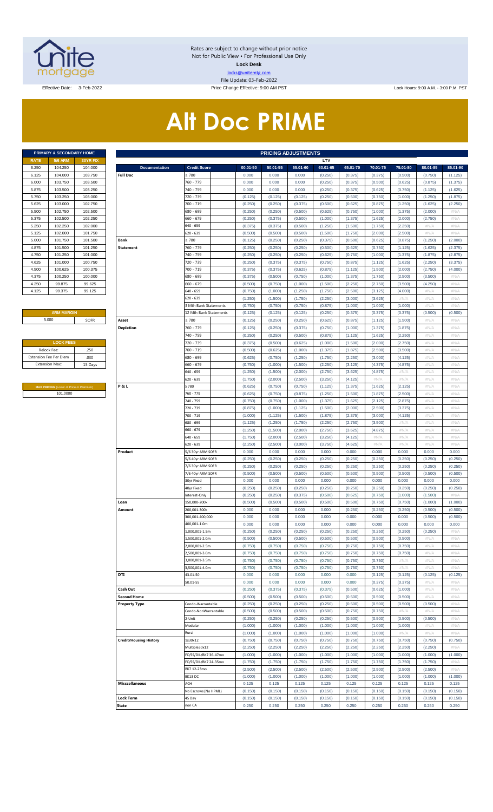

Rates are subject to change without prior notice Not for Public View • For Professional Use Only **Lock Desk** locks@unitemtg.com File Update: 03-Feb-2022

Effective Date: 3-Feb-2022 2000 A.M. - 3:00 Price Change Effective: 9:00 AM PST Lock Hours: 9:00 A.M. - 3:00 P.M. PST

# **Alt Doc PRIME**

|             | PRIMARY & SECONDARY HOME |                 |
|-------------|--------------------------|-----------------|
| <b>RATE</b> | <b>5/6 ARM</b>           | <b>30YR FIX</b> |
| 6.250       | 104.250                  | 104.000         |
| 6.125       | 104.000                  | 103.750         |
| 6.000       | 103.750                  | 103.500         |
| 5.875       | 103.500                  | 103.250         |
| 5.750       | 103.250                  | 103.000         |
| 5.625       | 103.000                  | 102.750         |
| 5.500       | 102.750                  | 102.500         |
| 5.375       | 102.500                  | 102.250         |
| 5.250       | 102.250                  | 102.000         |
| 5.125       | 102.000                  | 101.750         |
| 5.000       | 101.750                  | 101.500         |
| 4.875       | 101.500                  | 101.250         |
| 4.750       | 101.250                  | 101.000         |
| 4.625       | 101.000                  | 100.750         |
| 4.500       | 100.625                  | 100.375         |
| 4.375       | 100.250                  | 100.000         |
| 4.250       | 99.875                   | 99.625          |
| 4.125       | 99.375                   | 99.125          |

#### **ARM MARGIN** 5.000

| <b>LOCK FEES</b>              |         |
|-------------------------------|---------|
| Relock Fee:                   | .250    |
| <b>Extension Fee Per Diem</b> | .030    |
| <b>Extension Max:</b>         | 15 Days |
|                               |         |

**MAX PRICING** (Lower of Price or Premium) 101.0000

|                | <b>PRIMARY &amp; SECONDARY HOME</b>     |          |                               |                        |          | <b>PRICING ADJUSTMENTS</b> |          |          |          |          |          |          |          |
|----------------|-----------------------------------------|----------|-------------------------------|------------------------|----------|----------------------------|----------|----------|----------|----------|----------|----------|----------|
| RATE           | <b>5/6 ARM</b>                          | 30YR FIX |                               |                        |          |                            |          | LTV      |          |          |          |          |          |
| 6.250          | 104.250                                 | 104.000  | <b>Documentation</b>          | <b>Credit Score</b>    | 00.01-50 | 50.01-55                   | 55.01-60 | 60.01-65 | 65.01-70 | 70.01-75 | 75.01-80 | 80.01-85 | 85.01-90 |
| 6.125          | 104.000                                 | 103.750  | <b>Full Doc</b>               | 2780                   | 0.000    | 0.000                      | 0.000    | (0.250)  | (0.375)  | (0.375)  | (0.500)  | (0.750)  | (1.125)  |
| 6.000          | 103.750                                 | 103.500  |                               | 760 - 779              | 0.000    | 0.000                      | 0.000    | (0.250)  | (0.375)  | (0.500)  | (0.625)  | (0.875)  | (1.375)  |
| 5.875          | 103.500                                 | 103.250  |                               | 740 - 759              | 0.000    | 0.000                      | 0.000    | (0.250)  | (0.375)  | (0.625)  | (0.750)  | (1.125)  | (1.625)  |
| 5.750          | 103.250                                 | 103.000  |                               | 720 - 739              | (0.125)  | (0.125)                    | (0.125)  | (0.250)  | (0.500)  | (0.750)  | (1.000)  | (1.250)  | (1.875)  |
| 5.625          | 103.000                                 | 102.750  |                               | 700 - 719              | (0.250)  | (0.250)                    | (0.375)  | (0.500)  | (0.625)  | (0.875)  |          | (1.625)  | (2.250)  |
|                |                                         |          |                               |                        |          |                            |          |          |          |          | (1.250)  |          |          |
| 5.500          | 102.750                                 | 102.500  |                               | 680 - 699              | (0.250)  | (0.250)                    | (0.500)  | (0.625)  | (0.750)  | (1.000)  | (1.375)  | (2.000)  | #N/A     |
| 5.375          | 102.500                                 | 102.250  |                               | 660 - 679              | (0.250)  | (0.375)                    | (0.500)  | (1.000)  | (1.375)  | (1.625)  | (2.000)  | (2.750)  | #N/A     |
| 5.250          | 102.250                                 | 102.000  |                               | $640 - 659$            | (0.375)  | (0.375)                    | (0.500)  | (1.250)  | (1.500)  | (1.750)  | (2.250)  | #N/A     | #N/A     |
| 5.125          | 102.000                                 | 101.750  |                               | 620 - 639              | (0.500)  | (0.500)                    | (0.500)  | (1.500)  | (1.750)  | (2.000)  | (2.500)  | #N/A     | #N/A     |
| 5.000          | 101.750                                 | 101.500  | Bank                          | 2780                   | (0.125)  | (0.250)                    | (0.250)  | (0.375)  | (0.500)  | (0.625)  | (0.875)  | (1.250)  | (2.000)  |
| 4.875          | 101.500                                 | 101.250  | <b>Statement</b>              | 760 - 779              | (0.250)  | (0.250)                    | (0.250)  | (0.500)  | (0.625)  | (0.750)  | (1.125)  | (1.625)  | (2.375)  |
| 4.750          | 101.250                                 | 101.000  |                               | 740 - 759              | (0.250)  | (0.250)                    | (0.250)  | (0.625)  | (0.750)  | (1.000)  | (1.375)  | (1.875)  | (2.875)  |
| 4.625          | 101.000                                 | 100.750  |                               | 720 - 739              | (0.250)  | (0.375)                    | (0.375)  | (0.750)  | (0.875)  | (1.125)  | (1.625)  | (2.250)  | (3.375)  |
| 4.500          | 100.625                                 | 100.375  |                               | 700 - 719              | (0.375)  | (0.375)                    | (0.625)  | (0.875)  | (1.125)  | (1.500)  | (2.000)  | (2.750)  | (4.000)  |
| 4.375          | 100.250                                 | 100.000  |                               | 680 - 699              | (0.375)  | (0.500)                    | (0.750)  | (1.000)  | (1.375)  | (1.750)  | (2.500)  | (3.500)  | #N/A     |
|                |                                         |          |                               |                        |          |                            |          |          |          |          |          |          |          |
| 4.250          | 99.875                                  | 99.625   |                               | 660 - 679              | (0.500)  | (0.750)                    | (1.000)  | (1.500)  | (2.250)  | (2.750)  | (3.500)  | (4.250)  | #N/A     |
| 4.125          | 99.375                                  | 99.125   |                               | $640 - 659$            | (0.750)  | (1.000)                    | (1.250)  | (1.750)  | (2.500)  | (3.125)  | (4.000)  | #N/A     | #N/A     |
|                |                                         |          |                               | $620 - 639$            | (1.250)  | (1.500)                    | (1.750)  | (2.250)  | (3.000)  | (3.625)  | #N/A     | #N/A     | #N/A     |
|                |                                         |          |                               | 3 Mth Bank Statements  | (0.750)  | (0.750)                    | (0.750)  | (0.875)  | (1.000)  | (1.000)  | (1.000)  | $\#N/A$  | #N/A     |
|                | <b>ARM MARGIN</b>                       |          |                               | 12 Mth Bank Statements | (0.125)  | (0.125)                    | (0.125)  | (0.250)  | (0.375)  | (0.375)  | (0.375)  | (0.500)  | (0.500)  |
| 5.000          |                                         | SOFR     | Asset                         | 2780                   | (0.125)  | (0.250)                    | (0.250)  | (0.625)  | (0.875)  | (1.125)  | (1.500)  | #N/A     | #N/A     |
|                |                                         |          | <b>Depletion</b>              | 760 - 779              | (0.125)  | (0.250)                    | (0.375)  | (0.750)  | (1.000)  | (1.375)  | (1.875)  | #N/A     | #N/A     |
|                |                                         |          |                               | 740 - 759              | (0.250)  | (0.250)                    | (0.500)  | (0.875)  | (1.125)  | (1.625)  | (2.250)  | #N/A     | #N/A     |
|                |                                         |          |                               |                        |          |                            |          |          |          |          |          |          |          |
|                | <b>LOCK FEES</b>                        |          |                               | 720 - 739              | (0.375)  | (0.500)                    | (0.625)  | (1.000)  | (1.500)  | (2.000)  | (2.750)  | #N/A     | #N/A     |
| Relock Fee:    |                                         | .250     |                               | 700 - 719              | (0.500)  | (0.625)                    | (1.000)  | (1.375)  | (1.875)  | (2.500)  | (3.500)  | #N/A     | #N/A     |
|                | xtension Fee Per Diem                   | .030     |                               | 680 - 699              | (0.625)  | (0.750)                    | (1.250)  | (1.750)  | (2.250)  | (3.000)  | (4.125)  | #N/A     | #N/A     |
| Extension Max: |                                         | 15 Days  |                               | $660 - 679$            | (0.750)  | (1.000)                    | (1.500)  | (2.250)  | (3.125)  | (4.375)  | (4.875)  | #N/A     | #N/A     |
|                |                                         |          |                               | $640 - 659$            | (1.250)  | (1.500)                    | (2.000)  | (2.750)  | (3.625)  | (4.875)  | #N/A     | #N/A     | #N/A     |
|                |                                         |          |                               | $620 - 639$            | (1.750)  | (2.000)                    | (2.500)  | (3.250)  | (4.125)  | #N/A     | $\#N/A$  | #N/A     | #N/A     |
|                | MAX PRICING (Lower of Price or Premium) |          | P&L                           | 2780                   | (0.625)  | (0.750)                    | (0.750)  | (1.125)  | (1.375)  | (1.625)  | (2.125)  | #N/A     | #N/A     |
|                | 101.0000                                |          |                               | 760 - 779              | (0.625)  | (0.750)                    | (0.875)  | (1.250)  | (1.500)  | (1.875)  | (2.500)  | #N/A     | #N/A     |
|                |                                         |          |                               | 740 - 759              | (0.750)  | (0.750)                    | (1.000)  | (1.375)  | (1.625)  | (2.125)  | (2.875)  | #N/A     | #N/A     |
|                |                                         |          |                               | 720 - 739              | (0.875)  | (1.000)                    | (1.125)  | (1.500)  | (2.000)  | (2.500)  | (3.375)  | #N/A     | #N/A     |
|                |                                         |          |                               |                        |          |                            |          |          |          |          |          |          |          |
|                |                                         |          |                               | 700 - 719              | (1.000)  | (1.125)                    | (1.500)  | (1.875)  | (2.375)  | (3.000)  | (4.125)  | #N/A     | #N/A     |
|                |                                         |          |                               | 680 - 699              | (1.125)  | (1.250)                    | (1.750)  | (2.250)  | (2.750)  | (3.500)  | #N/A     | #N/A     | #N/A     |
|                |                                         |          |                               | 660 - 679              | (1.250)  | (1.500)                    | (2.000)  | (2.750)  | (3.625)  | (4.875)  | #N/A     | #N/A     | #N/A     |
|                |                                         |          |                               | 640 - 659              | (1.750)  | (2.000)                    | (2.500)  | (3.250)  | (4.125)  | #N/A     | #N/A     | #N/A     | #N/A     |
|                |                                         |          |                               | $620 - 639$            | (2.250)  | (2.500)                    | (3.000)  | (3.750)  | (4.625)  | #N/A     | #N/A     | #N/A     | #N/A     |
|                |                                         |          | Product                       | 5/6 30yr ARM SOFR      | 0.000    | 0.000                      | 0.000    | 0.000    | 0.000    | 0.000    | 0.000    | 0.000    | 0.000    |
|                |                                         |          |                               | 5/6 40yr ARM SOFR      | (0.250)  | (0.250)                    | (0.250)  | (0.250)  | (0.250)  | (0.250)  | (0.250)  | (0.250)  | (0.250)  |
|                |                                         |          |                               | 7/6 30yr ARM SOFR      | (0.250)  | (0.250)                    | (0.250)  | (0.250)  | (0.250)  | (0.250)  | (0.250)  | (0.250)  | (0.250)  |
|                |                                         |          |                               | 7/6 40yr ARM SOFR      | (0.500)  | (0.500)                    | (0.500)  | (0.500)  | (0.500)  | (0.500)  | (0.500)  | (0.500)  | (0.500)  |
|                |                                         |          |                               | 30yr Fixed             | 0.000    | 0.000                      | 0.000    | 0.000    | 0.000    | 0.000    | 0.000    | 0.000    | 0.000    |
|                |                                         |          |                               |                        |          |                            |          |          |          |          |          |          |          |
|                |                                         |          |                               | 40yr Fixed             | (0.250)  | (0.250)                    | (0.250)  | (0.250)  | (0.250)  | (0.250)  | (0.250)  | (0.250)  | (0.250)  |
|                |                                         |          |                               | nterest-Only           | (0.250)  | (0.250)                    | (0.375)  | (0.500)  | (0.625)  | (0.750)  | (1.000)  | (1.500)  | #N/A     |
|                |                                         |          | Loan                          | 150,000-200k           | (0.500)  | (0.500)                    | (0.500)  | (0.500)  | (0.500)  | (0.750)  | (0.750)  | (1.000)  | (1.000)  |
|                |                                         |          | Amount                        | 200,001-300k           | 0.000    | 0.000                      | 0.000    | 0.000    | (0.250)  | (0.250)  | (0.250)  | (0.500)  | (0.500)  |
|                |                                         |          |                               | 300,001-400,000        | 0.000    | 0.000                      | 0.000    | 0.000    | 0.000    | 0.000    | 0.000    | (0.500)  | (0.500)  |
|                |                                         |          |                               | 400,001-1.0m           | 0.000    | 0.000                      | 0.000    | 0.000    | 0.000    | 0.000    | 0.000    | 0.000    | 0.000    |
|                |                                         |          |                               | 1,000,001-1.5m         | (0.250)  | (0.250)                    | (0.250)  | (0.250)  | (0.250)  | (0.250)  | (0.250)  | (0.250)  | #N/A     |
|                |                                         |          |                               | 1,500,001-2.0m         | (0.500)  | (0.500)                    | (0.500)  | (0.500)  | (0.500)  | (0.500)  | (0.500)  | #N/A     | #N/A     |
|                |                                         |          |                               | 2,000,001-2.5m         | (0.750)  | (0.750)                    | (0.750)  | (0.750)  | (0.750)  | (0.750)  | (0.750)  | #N/A     | #N/A     |
|                |                                         |          |                               | 2,500,001-3.0m         | (0.750)  | (0.750)                    | (0.750)  | (0.750)  | (0.750)  | (0.750)  | (0.750)  | #N/A     | #N/A     |
|                |                                         |          |                               |                        |          |                            |          |          |          |          |          |          |          |
|                |                                         |          |                               | 3,000,001-3.5m         | (0.750)  | (0.750)                    | (0.750)  | (0.750)  | (0.750)  | (0.750)  | #N/A     | #N/A     | #N/A     |
|                |                                         |          |                               | 3,500,001-4.0m         | (0.750)  | (0.750)                    | (0.750)  | (0.750)  | (0.750)  | (0.750)  | #N/A     | #N/A     | #N/A     |
|                |                                         |          | DTI                           | 43.01-50               | 0.000    | 0.000                      | 0.000    | 0.000    | 0.000    | (0.125)  | (0.125)  | (0.125)  | (0.125)  |
|                |                                         |          |                               | 50.01-55               | 0.000    | 0.000                      | 0.000    | 0.000    | 0.000    | (0.375)  | (0.375)  | #N/A     | #N/A     |
|                |                                         |          | Cash Out                      |                        | (0.250)  | (0.375)                    | (0.375)  | (0.375)  | (0.500)  | (0.625)  | (1.000)  | #N/A     | #N/A     |
|                |                                         |          | <b>Second Home</b>            |                        | (0.500)  | (0.500)                    | (0.500)  | (0.500)  | (0.500)  | (0.500)  | (0.500)  | #N/A     | #N/A     |
|                |                                         |          | <b>Property Type</b>          | Condo-Warrantable      | (0.250)  | (0.250)                    | (0.250)  | (0.250)  | (0.500)  | (0.500)  | (0.500)  | (0.500)  | #N/A     |
|                |                                         |          |                               | Condo-NonWarrantable   | (0.500)  | (0.500)                    | (0.500)  | (0.500)  | (0.750)  | (0.750)  | #N/A     | #N/A     | #N/A     |
|                |                                         |          |                               | 2-Unit                 | (0.250)  | (0.250)                    | (0.250)  | (0.250)  | (0.500)  | (0.500)  | (0.500)  | (0.500)  | #N/A     |
|                |                                         |          |                               | Modular                | (1.000)  | (1.000)                    | (1.000)  | (1.000)  | (1.000)  | (1.000)  | (1.000)  | #N/A     | #N/A     |
|                |                                         |          |                               |                        |          |                            |          |          |          |          |          |          |          |
|                |                                         |          |                               | Rural                  | (1.000)  | (1.000)                    | (1.000)  | (1.000)  | (1.000)  | (1.000)  | #N/A     | #N/A     | #N/A     |
|                |                                         |          | <b>Credit/Housing History</b> | 1x30x12                | (0.750)  | (0.750)                    | (0.750)  | (0.750)  | (0.750)  | (0.750)  | (0.750)  | (0.750)  | (0.750)  |
|                |                                         |          |                               | Multiple30x12          | (2.250)  | (2.250)                    | (2.250)  | (2.250)  | (2.250)  | (2.250)  | (2.250)  | (2.250)  | #N/A     |
|                |                                         |          |                               | FC/SS/DIL/BK7 36-47mo  | (1.000)  | (1.000)                    | (1.000)  | (1.000)  | (1.000)  | (1.000)  | (1.000)  | (1.000)  | (1.000)  |
|                |                                         |          |                               | FC/SS/DIL/BK7 24-35mo  | (1.750)  | (1.750)                    | (1.750)  | (1.750)  | (1.750)  | (1.750)  | (1.750)  | (1.750)  | #N/A     |
|                |                                         |          |                               | BK7 12-23mo            | (2.500)  | (2.500)                    | (2.500)  | (2.500)  | (2.500)  | (2.500)  | (2.500)  | (2.500)  | #N/A     |
|                |                                         |          |                               | BK13DC                 | (1.000)  | (1.000)                    | (1.000)  | (1.000)  | (1.000)  | (1.000)  | (1.000)  | (1.000)  | (1.000)  |
|                |                                         |          | <b>Misccellaneous</b>         | ACH                    | 0.125    | 0.125                      | 0.125    | 0.125    | 0.125    | 0.125    | 0.125    | 0.125    | 0.125    |
|                |                                         |          |                               | No Escrows (No HPML)   |          | (0.150)                    | (0.150)  | (0.150)  | (0.150)  | (0.150)  |          | (0.150)  | (0.150)  |
|                |                                         |          |                               |                        | (0.150)  |                            |          |          |          |          | (0.150)  |          |          |
|                |                                         |          | <b>Lock Term</b>              | 45 Day                 | (0.150)  | (0.150)                    | (0.150)  | (0.150)  | (0.150)  | (0.150)  | (0.150)  | (0.150)  | (0.150)  |
|                |                                         |          | State                         | non CA                 | 0.250    | 0.250                      | 0.250    | 0.250    | 0.250    | 0.250    | 0.250    | 0.250    | 0.250    |
|                |                                         |          |                               |                        |          |                            |          |          |          |          |          |          |          |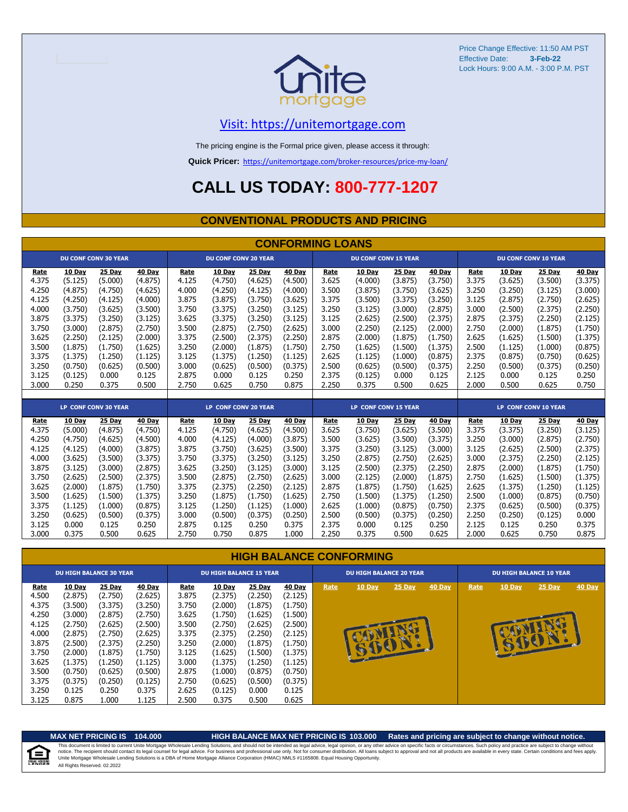

Price Change Effective: 11:50 AM PST Effective Date: Lock Hours: 9:00 A.M. - 3:00 P.M. PST **3-Feb-22**

## [V](https://unitemortgage.com/)isit: https://unitemortgage.com

The pricing engine is the Formal price given, please access it through:

**Quick Pricer:** [https://un](https://unitemortgage.com/broker-resources/price-my-loan/)itemortgage.com/broker-resources/price-my-loan/

# **CALL US TODAY: 800-777-1207**

## **CONVENTIONAL PRODUCTS AND PRICING**

|       | <b>CONFORMING LOANS</b> |                             |         |                      |                             |         |         |                             |                             |         |         |       |                             |                      |         |  |
|-------|-------------------------|-----------------------------|---------|----------------------|-----------------------------|---------|---------|-----------------------------|-----------------------------|---------|---------|-------|-----------------------------|----------------------|---------|--|
|       |                         | <b>DU CONF CONV 30 YEAR</b> |         |                      | <b>DU CONF CONV 20 YEAR</b> |         |         |                             | <b>DU CONF CONV 15 YEAR</b> |         |         |       | <b>DU CONF CONV 10 YEAR</b> |                      |         |  |
| Rate  | 10 Day                  | 25 Day                      | 40 Day  | Rate                 | 10 Day                      | 25 Day  | 40 Day  | Rate                        | 10 Day                      | 25 Day  | 40 Day  | Rate  | 10 Day                      | 25 Day               | 40 Day  |  |
| 4.375 | (5.125)                 | (5.000)                     | (4.875) | 4.125                | (4.750)                     | (4.625) | (4.500) | 3.625                       | (4.000)                     | (3.875) | (3.750) | 3.375 | (3.625)                     | (3.500)              | (3.375) |  |
| 4.250 | (4.875)                 | (4.750)                     | (4.625) | 4.000                | (4.250)                     | (4.125) | (4.000) | 3.500                       | (3.875)                     | (3.750) | (3.625) | 3.250 | (3.250)                     | (3.125)              | (3.000) |  |
| 4.125 | (4.250)                 | (4.125)                     | (4.000) | 3.875                | (3.875)                     | (3.750) | (3.625) | 3.375                       | (3.500)                     | (3.375) | (3.250) | 3.125 | (2.875)                     | (2.750)              | (2.625) |  |
| 4.000 | (3.750)                 | (3.625)                     | (3.500) | 3.750                | (3.375)                     | (3.250) | (3.125) | 3.250                       | (3.125)                     | (3.000) | (2.875) | 3.000 | (2.500)                     | (2.375)              | (2.250) |  |
| 3.875 | (3.375)                 | (3.250)                     | (3.125) | 3.625                | (3.375)                     | (3.250) | (3.125) | 3.125                       | (2.625)                     | (2.500) | (2.375) | 2.875 | (2.375)                     | (2.250)              | (2.125) |  |
| 3.750 | (3.000)                 | (2.875)                     | (2.750) | 3.500                | (2.875)                     | (2.750) | (2.625) | 3.000                       | (2.250)                     | (2.125) | (2.000) | 2.750 | (2.000)                     | (1.875)              | (1.750) |  |
| 3.625 | (2.250)                 | (2.125)                     | (2.000) | 3.375                | (2.500)                     | (2.375) | (2.250) | 2.875                       | (2.000)                     | (1.875) | (1.750) | 2.625 | (1.625)                     | (1.500)              | (1.375) |  |
| 3.500 | (1.875)                 | (1.750)                     | (1.625) | 3.250                | (2.000)                     | (1.875) | (1.750) | 2.750                       | (1.625)                     | (1.500) | (1.375) | 2.500 | (1.125)                     | (1.000)              | (0.875) |  |
| 3.375 | (1.375)                 | (1.250)                     | (1.125) | 3.125                | (1.375)                     | (1.250) | (1.125) | 2.625                       | (1.125)                     | (1.000) | (0.875) | 2.375 | (0.875)                     | (0.750)              | (0.625) |  |
| 3.250 | (0.750)                 | (0.625)                     | (0.500) | 3.000                | (0.625)                     | (0.500) | (0.375) | 2.500                       | (0.625)                     | (0.500) | (0.375) | 2.250 | (0.500)                     | (0.375)              | (0.250) |  |
| 3.125 | (0.125)                 | 0.000                       | 0.125   | 2.875                | 0.000                       | 0.125   | 0.250   | 2.375                       | (0.125)                     | 0.000   | 0.125   | 2.125 | 0.000                       | 0.125                | 0.250   |  |
| 3.000 | 0.250                   | 0.375                       | 0.500   | 2.750                | 0.625                       | 0.750   | 0.875   | 2.250                       | 0.375                       | 0.500   | 0.625   | 2.000 | 0.500                       | 0.625                | 0.750   |  |
|       |                         |                             |         |                      |                             |         |         |                             |                             |         |         |       |                             |                      |         |  |
|       |                         | LP CONF CONV 30 YEAR        |         | LP CONF CONV 20 YEAR |                             |         |         | <b>LP CONF CONV 15 YEAR</b> |                             |         |         |       |                             | LP CONF CONV 10 YEAR |         |  |
| Rate  | <b>10 Day</b>           | 25 Day                      | 40 Day  | Rate                 | 10 Day                      | 25 Day  | 40 Day  | Rate                        | 10 Day                      | 25 Day  | 40 Day  | Rate  | <b>10 Day</b>               | 25 Day               | 40 Day  |  |
| 4.375 | (5.000)                 | (4.875)                     | (4.750) | 4.125                | (4.750)                     | (4.625) | (4.500) | 3.625                       | (3.750)                     | (3.625) | (3.500) | 3.375 | (3.375)                     | (3.250)              | (3.125) |  |
| 4.250 | (4.750)                 | (4.625)                     | (4.500) | 4.000                | (4.125)                     | (4.000) | (3.875) | 3.500                       | (3.625)                     | (3.500) | (3.375) | 3.250 | (3.000)                     | (2.875)              | (2.750) |  |
| 4.125 | (4.125)                 | (4.000)                     | (3.875) | 3.875                | (3.750)                     | (3.625) | (3.500) | 3.375                       | (3.250)                     | (3.125) | (3.000) | 3.125 | (2.625)                     | (2.500)              | (2.375) |  |
| 4.000 | (3.625)                 | (3.500)                     | (3.375) | 3.750                | (3.375)                     | (3.250) | (3.125) | 3.250                       | (2.875)                     | (2.750) | (2.625) | 3.000 | (2.375)                     | (2.250)              | (2.125) |  |
| 3.875 | (3.125)                 | (3.000)                     | (2.875) | 3.625                | (3.250)                     | (3.125) | (3.000) | 3.125                       | (2.500)                     | (2.375) | (2.250) | 2.875 | (2.000)                     | (1.875)              | (1.750) |  |
| 3.750 | (2.625)                 | (2.500)                     | (2.375) | 3.500                | (2.875)                     | (2.750) | (2.625) | 3.000                       | (2.125)                     | (2.000) | (1.875) | 2.750 | (1.625)                     | (1.500)              | (1.375) |  |
| 3.625 | (2.000)                 | (1.875)                     | (1.750) | 3.375                | (2.375)                     | (2.250) | (2.125) | 2.875                       | (1.875)                     | (1.750) | (1.625) | 2.625 | (1.375)                     | (1.250)              | (1.125) |  |
| 3.500 | (1.625)                 | (1.500)                     | (1.375) | 3.250                | (1.875)                     | (1.750) | (1.625) | 2.750                       | (1.500)                     | (1.375) | (1.250) | 2.500 | (1.000)                     | (0.875)              | (0.750) |  |
| 3.375 | (1.125)                 | (1.000)                     | (0.875) | 3.125                | (1.250)                     | (1.125) | (1.000) | 2.625                       | (1.000)                     | (0.875) | (0.750) | 2.375 | (0.625)                     | (0.500)              | (0.375) |  |
| 3.250 | (0.625)                 | (0.500)                     | (0.375) | 3.000                | (0.500)                     | (0.375) | (0.250) | 2.500                       | (0.500)                     | (0.375) | (0.250) | 2.250 | (0.250)                     | (0.125)              | 0.000   |  |
| 3.125 | 0.000                   | 0.125                       | 0.250   | 2.875                | 0.125                       | 0.250   | 0.375   | 2.375                       | 0.000                       | 0.125   | 0.250   | 2.125 | 0.125                       | 0.250                | 0.375   |  |
| 3.000 | 0.375                   | 0.500                       | 0.625   | 2.750                | 0.750                       | 0.875   | 1.000   | 2.250                       | 0.375                       | 0.500   | 0.625   | 2.000 | 0.625                       | 0.750                | 0.875   |  |

### **HIGH BALANCE CONFORMING Rate 10 Day 25 Day 40 Day Rate 10 Day 25 Day 40 Day Rate 10 Day 25 Day 40 Day Rate 10 Day 25 Day 40 Day** 4.500 (2.875) (2.750) (2.625) 3.875 (2.375) (2.250) (2.125) 4.375 (3.500) (3.375) (3.250) 3.750 (2.000) (1.875) (1.750) 4.250 (3.000) (2.875) (2.750) 3.625 (1.750) (1.625) (1.500) 4.125 (2.750) (2.625) (2.500) 3.500 (2.750) (2.625) (2.500)  $(2.875)$   $(2.750)$   $(2.625)$  3.375  $(2.375)$   $(2.250)$ 3.875 (2.500) (2.375) (2.250) 3.250 (2.000) (1.875) (1.750) 3.750 (2.000) (1.875) (1.750) 3.125 (1.625) (1.500) (1.375) 3.625 (1.375) (1.250) (1.125) 3.000 (1.375) (1.250) (1.125) 3.500 (0.750) (0.625) (0.500) 2.875 (1.000) (0.875) (0.750) 3.375 (0.375) (0.250) (0.125) 2.750 (0.625) (0.500) (0.375) 3.250 0.125 0.250 0.375 2.625 (0.125) 0.000 0.125 3.125 0.875 1.000 1.125 2.500 0.375 0.500 0.625 **DU HIGH BALANCE 30 YEAR DU HIGH BALANCE 15 YEAR DU HIGH BALANCE 20 YEAR DU HIGH BALANCE 10 YEAR**

自

### **MAX NET PRICING IS 104.000 HIGH BALANCE MAX NET PRICING IS 103.000 Rates and pricing are subject to change without notice.**

All Rights Reserved. 02.2022 This document is limited to current Unite Mortgage Wholesale Lending Solutions, and should not be intended as legal advice, legal opinion, or any other advice on specific facts or circumstances. Such policy and practice ar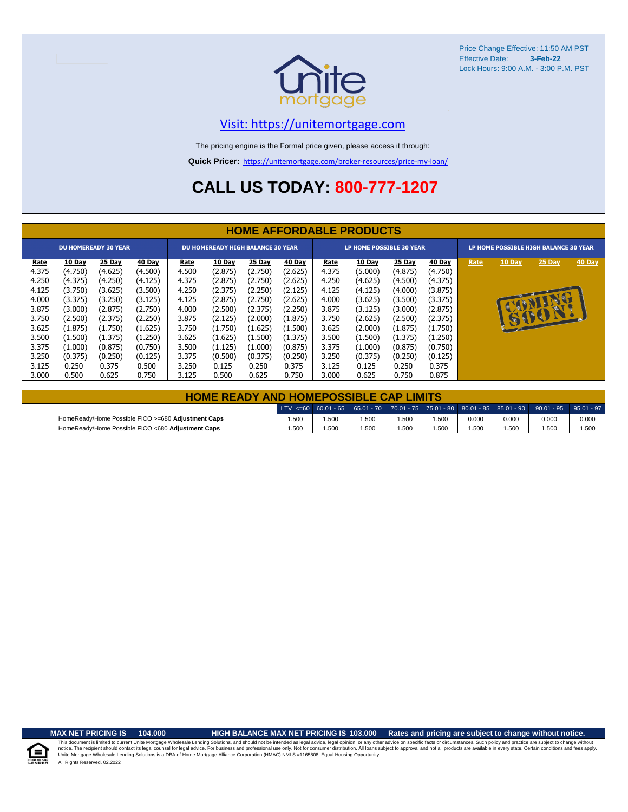

Price Change Effective: 11:50 AM PST Effective Date: **3-Feb-22** Lock Hours: 9:00 A.M. - 3:00 P.M. PST

## [V](https://unitemortgage.com/)isit: https://unitemortgage.com

The pricing engine is the Formal price given, please access it through:

**Quick Pricer:** [https://un](https://unitemortgage.com/broker-resources/price-my-loan/)itemortgage.com/broker-resources/price-my-loan/

# **CALL US TODAY: 800-777-1207**

|                                                                                                | <b>HOME AFFORDABLE PRODUCTS</b>                                                                                      |                                                                                                                      |                                                                                                                      |                                                                                                |                                                                                                                      |                                                                                                                      |                                                                                                                             |                                                                                                |                                                                                                                      |                                                                                                                      |                                                                                                                      |                                       |               |                |        |
|------------------------------------------------------------------------------------------------|----------------------------------------------------------------------------------------------------------------------|----------------------------------------------------------------------------------------------------------------------|----------------------------------------------------------------------------------------------------------------------|------------------------------------------------------------------------------------------------|----------------------------------------------------------------------------------------------------------------------|----------------------------------------------------------------------------------------------------------------------|-----------------------------------------------------------------------------------------------------------------------------|------------------------------------------------------------------------------------------------|----------------------------------------------------------------------------------------------------------------------|----------------------------------------------------------------------------------------------------------------------|----------------------------------------------------------------------------------------------------------------------|---------------------------------------|---------------|----------------|--------|
| <b>DU HOMEREADY 30 YEAR</b>                                                                    |                                                                                                                      |                                                                                                                      |                                                                                                                      | <b>DU HOMEREADY HIGH BALANCE 30 YEAR</b>                                                       |                                                                                                                      |                                                                                                                      |                                                                                                                             |                                                                                                | LP HOME POSSIBLE 30 YEAR                                                                                             |                                                                                                                      |                                                                                                                      | LP HOME POSSIBLE HIGH BALANCE 30 YEAR |               |                |        |
| Rate<br>4.375<br>4.250<br>4.125<br>4.000<br>3.875<br>3.750<br>3.625<br>3.500<br>3.375<br>3.250 | 10 Day<br>(4.750)<br>(4.375)<br>(3.750)<br>(3.375)<br>(3.000)<br>(2.500)<br>(1.875)<br>(1.500)<br>(1.000)<br>(0.375) | 25 Day<br>(4.625)<br>(4.250)<br>(3.625)<br>(3.250)<br>(2.875)<br>(2.375)<br>(1.750)<br>(1.375)<br>(0.875)<br>(0.250) | 40 Day<br>(4.500)<br>(4.125)<br>(3.500)<br>(3.125)<br>(2.750)<br>(2.250)<br>(1.625)<br>(1.250)<br>(0.750)<br>(0.125) | Rate<br>4.500<br>4.375<br>4.250<br>4.125<br>4.000<br>3.875<br>3.750<br>3.625<br>3.500<br>3.375 | 10 Day<br>(2.875)<br>(2.875)<br>(2.375)<br>(2.875)<br>(2.500)<br>(2.125)<br>(1.750)<br>(1.625)<br>(1.125)<br>(0.500) | 25 Day<br>(2.750)<br>(2.750)<br>(2.250)<br>(2.750)<br>(2.375)<br>(2.000)<br>(1.625)<br>(1.500)<br>(1.000)<br>(0.375) | <b>40 Day</b><br>(2.625)<br>(2.625)<br>(2.125)<br>(2.625)<br>(2.250)<br>(1.875)<br>(1.500)<br>(1.375)<br>(0.875)<br>(0.250) | Rate<br>4.375<br>4.250<br>4.125<br>4.000<br>3.875<br>3.750<br>3.625<br>3.500<br>3.375<br>3.250 | 10 Day<br>(5.000)<br>(4.625)<br>(4.125)<br>(3.625)<br>(3.125)<br>(2.625)<br>(2.000)<br>(1.500)<br>(1.000)<br>(0.375) | 25 Day<br>(4.875)<br>(4.500)<br>(4.000)<br>(3.500)<br>(3.000)<br>(2.500)<br>(1.875)<br>(1.375)<br>(0.875)<br>(0.250) | 40 Day<br>(4.750)<br>(4.375)<br>(3.875)<br>(3.375)<br>(2.875)<br>(2.375)<br>(1.750)<br>(1.250)<br>(0.750)<br>(0.125) | Rate                                  | <b>10 Day</b> | 25 Day<br>6001 | 40 Day |
| 3.125<br>3.000                                                                                 | 0.250<br>0.500                                                                                                       | 0.375<br>0.625                                                                                                       | 0.500<br>0.750                                                                                                       | 3.250<br>3.125                                                                                 | 0.125<br>0.500                                                                                                       | 0.250<br>0.625                                                                                                       | 0.375<br>0.750                                                                                                              | 3.125<br>3.000                                                                                 | 0.125<br>0.625                                                                                                       | 0.250<br>0.750                                                                                                       | 0.375<br>0.875                                                                                                       |                                       |               |                |        |

| <b>HOME READY AND HOMEPOSSIBLE CAP LIMITS</b>      |       |      |      |      |       |       |       |                                                                                                  |       |  |  |  |  |
|----------------------------------------------------|-------|------|------|------|-------|-------|-------|--------------------------------------------------------------------------------------------------|-------|--|--|--|--|
|                                                    |       |      |      |      |       |       |       | LTV <=60 60.01 - 65 65.01 - 70 70.01 - 75 75.01 - 80 80.01 - 85 85.01 - 90 90.01 - 95 95.01 - 97 |       |  |  |  |  |
| HomeReady/Home Possible FICO >=680 Adjustment Caps | 1.500 | 500، | .500 | .500 | i.500 | 0.000 | 0.000 | 0.000                                                                                            | 0.000 |  |  |  |  |
| HomeReady/Home Possible FICO <680 Adjustment Caps  | 1.500 | .500 | .500 | .500 | 500،، | .500  | 1.500 | 1.500                                                                                            | 1.500 |  |  |  |  |

u Hou

## **MAX NET PRICING IS 104.000 HIGH BALANCE MAX NET PRICING IS 103.000 Rates and pricing are subject to change without notice.**

All Rights Reserved. 02.2022 This document is limited to current Unite Mortgage Wholesale Lending Solutions, and should not be intended as legal advice, legal opinion, or any other advice on specific facts or circumstances. Such policy and practice ar notice. The recipient should contact its legal coursel for legal advice. For business and professional use only. Not for consumer distribution. All oans subject to approval and not all products are available in every state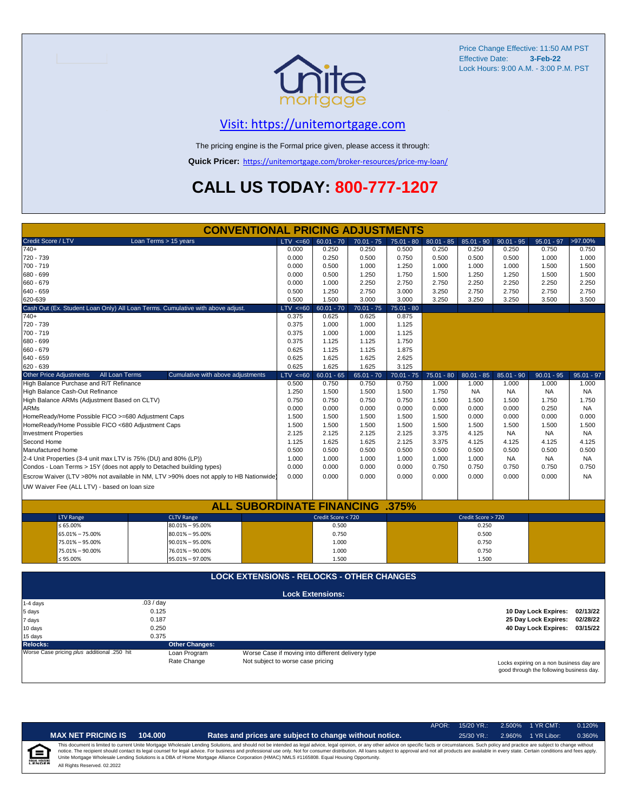

Price Change Effective: 11:50 AM PST Effective Date: **3-Feb-22** Lock Hours: 9:00 A.M. - 3:00 P.M. PST

# [V](https://unitemortgage.com/)isit: https://unitemortgage.com

The pricing engine is the Formal price given, please access it through:

**Quick Pricer:** [https://un](https://unitemortgage.com/broker-resources/price-my-loan/)itemortgage.com/broker-resources/price-my-loan/

# **CALL US TODAY: 800-777-1207**

| <b>CONVENTIONAL PRICING ADJUSTMENTS</b>                               |                                                                                        |                                                   |                         |              |              |              |                    |              |                                          |              |  |  |
|-----------------------------------------------------------------------|----------------------------------------------------------------------------------------|---------------------------------------------------|-------------------------|--------------|--------------|--------------|--------------------|--------------|------------------------------------------|--------------|--|--|
| Credit Score / LTV                                                    | Loan Terms > 15 years                                                                  | $LTV \le 60$                                      | $60.01 - 70$            | $70.01 - 75$ | $75.01 - 80$ | $80.01 - 85$ | $85.01 - 90$       | $90.01 - 95$ | $95.01 - 97$                             | >97.00%      |  |  |
| 740+                                                                  |                                                                                        | 0.000                                             | 0.250                   | 0.250        | 0.500        | 0.250        | 0.250              | 0.250        | 0.750                                    | 0.750        |  |  |
| 720 - 739                                                             |                                                                                        | 0.000                                             | 0.250                   | 0.500        | 0.750        | 0.500        | 0.500              | 0.500        | 1.000                                    | 1.000        |  |  |
| 700 - 719                                                             |                                                                                        | 0.000                                             | 0.500                   | 1.000        | 1.250        | 1.000        | 1.000              | 1.000        | 1.500                                    | 1.500        |  |  |
| 680 - 699                                                             |                                                                                        | 0.000                                             | 0.500                   | 1.250        | 1.750        | 1.500        | 1.250              | 1.250        | 1.500                                    | 1.500        |  |  |
| 660 - 679                                                             |                                                                                        | 0.000                                             | 1.000                   | 2.250        | 2.750        | 2.750        | 2.250              | 2.250        | 2.250                                    | 2.250        |  |  |
| 640 - 659                                                             |                                                                                        | 0.500                                             | 1.250                   | 2.750        | 3.000        | 3.250        | 2.750              | 2.750        | 2.750                                    | 2.750        |  |  |
| 620-639                                                               |                                                                                        | 0.500                                             | 1.500                   | 3.000        | 3.000        | 3.250        | 3.250              | 3.250        | 3.500                                    | 3.500        |  |  |
|                                                                       | Cash Out (Ex. Student Loan Only) All Loan Terms. Cumulative with above adjust.         | $LTV \le 60$                                      | $60.01 - 70$            | $70.01 - 75$ | $75.01 - 80$ |              |                    |              |                                          |              |  |  |
| $740+$                                                                |                                                                                        | 0.375                                             | 0.625                   | 0.625        | 0.875        |              |                    |              |                                          |              |  |  |
| 720 - 739                                                             |                                                                                        | 0.375                                             | 1.000                   | 1.000        | 1.125        |              |                    |              |                                          |              |  |  |
| 700 - 719                                                             |                                                                                        | 0.375                                             | 1.000                   | 1.000        | 1.125        |              |                    |              |                                          |              |  |  |
| 680 - 699                                                             |                                                                                        | 0.375                                             | 1.125                   | 1.125        | 1.750        |              |                    |              |                                          |              |  |  |
| 660 - 679                                                             |                                                                                        | 0.625                                             | 1.125                   | 1.125        | 1.875        |              |                    |              |                                          |              |  |  |
| 640 - 659                                                             |                                                                                        | 0.625                                             | 1.625                   | 1.625        | 2.625        |              |                    |              |                                          |              |  |  |
| 620 - 639                                                             |                                                                                        | 0.625                                             | 1.625                   | 1.625        | 3.125        |              |                    |              |                                          |              |  |  |
| <b>Other Price Adjustments</b><br>All Loan Terms                      | Cumulative with above adjustments                                                      | $LTV \le 60$                                      | $60.01 - 65$            | $65.01 - 70$ | $70.01 - 75$ | $75.01 - 80$ | $80.01 - 85$       | $85.01 - 90$ | $90.01 - 95$                             | $95.01 - 97$ |  |  |
| High Balance Purchase and R/T Refinance                               |                                                                                        | 0.500                                             | 0.750                   | 0.750        | 0.750        | 1.000        | 1.000              | 1.000        | 1.000                                    | 1.000        |  |  |
| High Balance Cash-Out Refinance                                       |                                                                                        | 1.250                                             | 1.500                   | 1.500        | 1.500        | 1.750        | <b>NA</b>          | <b>NA</b>    | NA                                       | <b>NA</b>    |  |  |
| High Balance ARMs (Adjustment Based on CLTV)                          |                                                                                        | 0.750                                             | 0.750                   | 0.750        | 0.750        | 1.500        | 1.500              | 1.500        | 1.750                                    | 1.750        |  |  |
| <b>ARMs</b>                                                           |                                                                                        | 0.000                                             | 0.000                   | 0.000        | 0.000        | 0.000        | 0.000              | 0.000        | 0.250                                    | <b>NA</b>    |  |  |
| HomeReady/Home Possible FICO >=680 Adjustment Caps                    |                                                                                        | 1.500                                             | 1.500                   | 1.500        | 1.500        | 1.500        | 0.000              | 0.000        | 0.000                                    | 0.000        |  |  |
| HomeReady/Home Possible FICO <680 Adjustment Caps                     |                                                                                        | 1.500                                             | 1.500                   | 1.500        | 1.500        | 1.500        | 1.500              | 1.500        | 1.500                                    | 1.500        |  |  |
| <b>Investment Properties</b>                                          |                                                                                        | 2.125                                             | 2.125                   | 2.125        | 2.125        | 3.375        | 4.125              | <b>NA</b>    | <b>NA</b>                                | <b>NA</b>    |  |  |
| Second Home                                                           |                                                                                        | 1.125                                             | 1.625                   | 1.625        | 2.125        | 3.375        | 4.125              | 4.125        | 4.125                                    | 4.125        |  |  |
| Manufactured home                                                     |                                                                                        | 0.500                                             | 0.500                   | 0.500        | 0.500        | 0.500        | 0.500              | 0.500        | 0.500                                    | 0.500        |  |  |
| 2-4 Unit Properties (3-4 unit max LTV is 75% (DU) and 80% (LP))       |                                                                                        | 1.000                                             | 1.000                   | 1.000        | 1.000        | 1.000        | 1.000              | <b>NA</b>    | <b>NA</b>                                | <b>NA</b>    |  |  |
| Condos - Loan Terms > 15Y (does not apply to Detached building types) |                                                                                        | 0.000                                             | 0.000                   | 0.000        | 0.000        | 0.750        | 0.750              | 0.750        | 0.750                                    | 0.750        |  |  |
|                                                                       | Escrow Waiver (LTV >80% not available in NM, LTV >90% does not apply to HB Nationwide) | 0.000                                             | 0.000                   | 0.000        | 0.000        | 0.000        | 0.000              | 0.000        | 0.000                                    | <b>NA</b>    |  |  |
| UW Waiver Fee (ALL LTV) - based on loan size                          |                                                                                        |                                                   |                         |              |              |              |                    |              |                                          |              |  |  |
|                                                                       |                                                                                        |                                                   |                         |              |              |              |                    |              |                                          |              |  |  |
|                                                                       | <b>ALL SUBORDINATE FINANCING</b>                                                       |                                                   |                         |              | .375%        |              |                    |              |                                          |              |  |  |
| <b>LTV Range</b>                                                      | <b>CLTV Range</b>                                                                      |                                                   | Credit Score < 720      |              |              |              | Credit Score > 720 |              |                                          |              |  |  |
| $\leq 65.00\%$                                                        | 80.01% - 95.00%                                                                        |                                                   | 0.500                   |              |              |              | 0.250              |              |                                          |              |  |  |
| 65.01% - 75.00%                                                       | $80.01\% - 95.00\%$                                                                    |                                                   | 0.750                   |              |              |              | 0.500              |              |                                          |              |  |  |
| 75.01% - 95.00%                                                       | $90.01\% - 95.00\%$                                                                    |                                                   | 1.000                   |              |              |              | 0.750              |              |                                          |              |  |  |
| 75.01% - 90.00%                                                       | 76.01% - 90.00%                                                                        |                                                   | 1.000                   |              |              |              | 0.750              |              |                                          |              |  |  |
| ≤ 95.00%                                                              | 95.01% - 97.00%                                                                        |                                                   | 1.500                   |              |              |              | 1.500              |              |                                          |              |  |  |
|                                                                       |                                                                                        |                                                   |                         |              |              |              |                    |              |                                          |              |  |  |
|                                                                       | <b>LOCK EXTENSIONS - RELOCKS - OTHER CHANGES</b>                                       |                                                   |                         |              |              |              |                    |              |                                          |              |  |  |
|                                                                       |                                                                                        |                                                   |                         |              |              |              |                    |              |                                          |              |  |  |
|                                                                       |                                                                                        |                                                   | <b>Lock Extensions:</b> |              |              |              |                    |              |                                          |              |  |  |
| 1-4 days                                                              | .03 / day                                                                              |                                                   |                         |              |              |              |                    |              |                                          |              |  |  |
| 5 days                                                                | 0.125                                                                                  |                                                   |                         |              |              |              |                    |              | 10 Day Lock Expires:                     | 02/13/22     |  |  |
| 7 days                                                                | 0.187                                                                                  |                                                   |                         |              |              |              |                    |              | 25 Day Lock Expires:                     | 02/28/22     |  |  |
| 10 days                                                               | 0.250                                                                                  |                                                   |                         |              |              |              |                    |              | 40 Day Lock Expires: 03/15/22            |              |  |  |
| 15 days                                                               | 0.375                                                                                  |                                                   |                         |              |              |              |                    |              |                                          |              |  |  |
| <b>Relocks:</b>                                                       | <b>Other Changes:</b>                                                                  |                                                   |                         |              |              |              |                    |              |                                          |              |  |  |
| Worse Case pricing plus additional .250 hit                           | Loan Program                                                                           | Worse Case if moving into different delivery type |                         |              |              |              |                    |              |                                          |              |  |  |
|                                                                       | Rate Change                                                                            | Not subject to worse case pricing                 |                         |              |              |              |                    |              | Locks expiring on a non business day are |              |  |  |

Locks expiring on a non business day are good through the following business day.

|   |                              |         |                                                                                                                                                                                                                                                                                                                                                                                                                                                                                                                                                                                                                | APOR: | $15/20$ YR.: |        | 2.500% 1 YR CMT: | 0.120% |
|---|------------------------------|---------|----------------------------------------------------------------------------------------------------------------------------------------------------------------------------------------------------------------------------------------------------------------------------------------------------------------------------------------------------------------------------------------------------------------------------------------------------------------------------------------------------------------------------------------------------------------------------------------------------------------|-------|--------------|--------|------------------|--------|
|   | <b>MAX NET PRICING IS</b>    | 104.000 | Rates and prices are subject to change without notice.                                                                                                                                                                                                                                                                                                                                                                                                                                                                                                                                                         |       | $25/30$ YR.: | 2.960% | 1 YR Libor:      | 0.360% |
| 食 | All Rights Reserved. 02.2022 |         | This document is limited to current Unite Mortgage Wholesale Lending Solutions, and should not be intended as legal advice, legal opinion, or any other advice on specific facts or circumstances. Such policy and practice ar<br>notice. The recipient should contact its legal counsel for legal advice. For business and professional use only. Not for consumer distribution. All loans subject to approval and not all products are available in every stat<br>Unite Mortgage Wholesale Lending Solutions is a DBA of Home Mortgage Alliance Corporation (HMAC) NMLS #1165808. Equal Housing Opportunity. |       |              |        |                  |        |